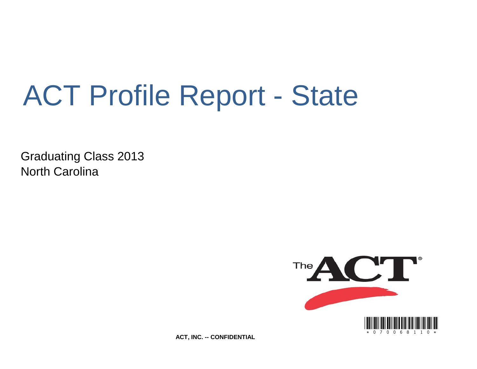# ACT Profile Report - State

Graduating Class 2013 North Carolina



**ACT, INC. -- CONFIDENTIAL**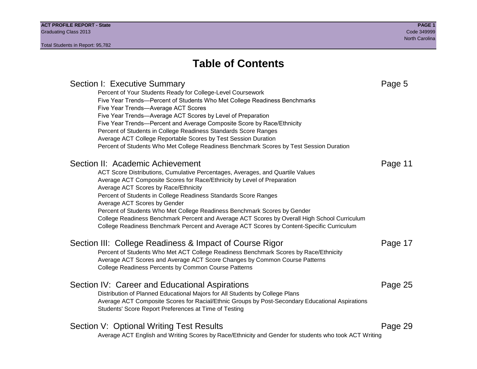# **Table of Contents**

# Section I: Executive Summary **Page 5** and the section I: Executive Summary Percent of Your Students Ready for College-Level Coursework Five Year Trends—Percent of Students Who Met College Readiness Benchmarks Five Year Trends—Average ACT Scores Five Year Trends—Average ACT Scores by Level of Preparation Five Year Trends—Percent and Average Composite Score by Race/Ethnicity Percent of Students in College Readiness Standards Score Ranges Average ACT College Reportable Scores by Test Session Duration Percent of Students Who Met College Readiness Benchmark Scores by Test Session Duration Section II: Academic Achievement **Page 11** Page 11 ACT Score Distributions, Cumulative Percentages, Averages, and Quartile Values Average ACT Composite Scores for Race/Ethnicity by Level of Preparation Average ACT Scores by Race/Ethnicity Percent of Students in College Readiness Standards Score Ranges Average ACT Scores by Gender Percent of Students Who Met College Readiness Benchmark Scores by Gender College Readiness Benchmark Percent and Average ACT Scores by Overall High School Curriculum College Readiness Benchmark Percent and Average ACT Scores by Content-Specific Curriculum Section III: College Readiness & Impact of Course Rigor Page 17 Percent of Students Who Met ACT College Readiness Benchmark Scores by Race/Ethnicity Average ACT Scores and Average ACT Score Changes by Common Course Patterns College Readiness Percents by Common Course Patterns Section IV: Career and Educational Aspirations **Page 25** Page 25 Distribution of Planned Educational Majors for All Students by College Plans Average ACT Composite Scores for Racial/Ethnic Groups by Post-Secondary Educational Aspirations Students' Score Report Preferences at Time of Testing Section V: Optional Writing Test Results **Page 29** Page 29 Average ACT English and Writing Scores by Race/Ethnicity and Gender for students who took ACT Writing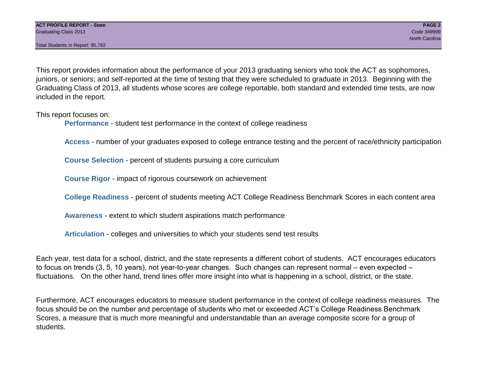Total Students in Report: 95,782

This report provides information about the performance of your 2013 graduating seniors who took the ACT as sophomores, juniors, or seniors; and self-reported at the time of testing that they were scheduled to graduate in 2013. Beginning with the Graduating Class of 2013, all students whose scores are college reportable, both standard and extended time tests, are now included in the report.

This report focuses on:

**Performance** - student test performance in the context of college readiness

**Access** - number of your graduates exposed to college entrance testing and the percent of race/ethnicity participation

**Course Selection** - percent of students pursuing a core curriculum

**Course Rigor** - impact of rigorous coursework on achievement

**College Readiness** - percent of students meeting ACT College Readiness Benchmark Scores in each content area

**Awareness** - extent to which student aspirations match performance

**Articulation** - colleges and universities to which your students send test results

Each year, test data for a school, district, and the state represents a different cohort of students. ACT encourages educators to focus on trends (3, 5, 10 years), not year-to-year changes. Such changes can represent normal – even expected – fluctuations. On the other hand, trend lines offer more insight into what is happening in a school, district, or the state.

Furthermore, ACT encourages educators to measure student performance in the context of college readiness measures. The focus should be on the number and percentage of students who met or exceeded ACT's College Readiness Benchmark Scores, a measure that is much more meaningful and understandable than an average composite score for a group of students.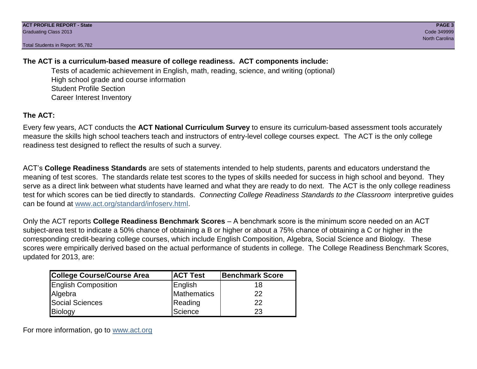Total Students in Report: 95,782

# **The ACT is a curriculum-based measure of college readiness. ACT components include:**

Tests of academic achievement in English, math, reading, science, and writing (optional) High school grade and course information Student Profile Section Career Interest Inventory

# **The ACT:**

Every few years, ACT conducts the **ACT National Curriculum Survey** to ensure its curriculum-based assessment tools accurately measure the skills high school teachers teach and instructors of entry-level college courses expect. The ACT is the only college readiness test designed to reflect the results of such a survey.

ACT's **College Readiness Standards** are sets of statements intended to help students, parents and educators understand the meaning of test scores. The standards relate test scores to the types of skills needed for success in high school and beyond. They serve as a direct link between what students have learned and what they are ready to do next. The ACT is the only college readiness test for which scores can be tied directly to standards. *Connecting College Readiness Standards to the Classroom* interpretive guides can be found at www.act.org/standard/infoserv.html.

Only the ACT reports **College Readiness Benchmark Scores** – A benchmark score is the minimum score needed on an ACT subject-area test to indicate a 50% chance of obtaining a B or higher or about a 75% chance of obtaining a C or higher in the corresponding credit-bearing college courses, which include English Composition, Algebra, Social Science and Biology. These scores were empirically derived based on the actual performance of students in college. The College Readiness Benchmark Scores, updated for 2013, are:

| College Course/Course Area | <b>ACT Test</b> | <b>Benchmark Score</b> |
|----------------------------|-----------------|------------------------|
| <b>English Composition</b> | English         | 18                     |
| Algebra                    | Mathematics     | 22                     |
| <b>Social Sciences</b>     | Reading         | 22                     |
| Biology                    | Science         | 23                     |

For more information, go to www.act.org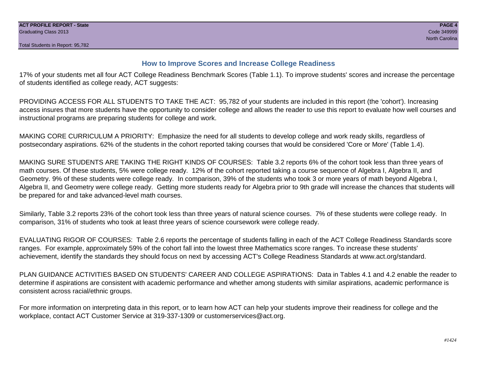# **How to Improve Scores and Increase College Readiness**

17% of your students met all four ACT College Readiness Benchmark Scores (Table 1.1). To improve students' scores and increase the percentage of students identified as college ready, ACT suggests:

PROVIDING ACCESS FOR ALL STUDENTS TO TAKE THE ACT: 95,782 of your students are included in this report (the 'cohort'). Increasing access insures that more students have the opportunity to consider college and allows the reader to use this report to evaluate how well courses and instructional programs are preparing students for college and work.

MAKING CORE CURRICULUM A PRIORITY: Emphasize the need for all students to develop college and work ready skills, regardless of postsecondary aspirations. 62% of the students in the cohort reported taking courses that would be considered 'Core or More' (Table 1.4).

MAKING SURE STUDENTS ARE TAKING THE RIGHT KINDS OF COURSES: Table 3.2 reports 6% of the cohort took less than three years of math courses. Of these students, 5% were college ready. 12% of the cohort reported taking a course sequence of Algebra I, Algebra II, and Geometry. 9% of these students were college ready. In comparison, 39% of the students who took 3 or more years of math beyond Algebra I, Algebra II, and Geometry were college ready. Getting more students ready for Algebra prior to 9th grade will increase the chances that students will be prepared for and take advanced-level math courses.

Similarly, Table 3.2 reports 23% of the cohort took less than three years of natural science courses. 7% of these students were college ready. In comparison, 31% of students who took at least three years of science coursework were college ready.

EVALUATING RIGOR OF COURSES: Table 2.6 reports the percentage of students falling in each of the ACT College Readiness Standards score ranges. For example, approximately 59% of the cohort fall into the lowest three Mathematics score ranges. To increase these students' achievement, identify the standards they should focus on next by accessing ACT's College Readiness Standards at www.act.org/standard.

PLAN GUIDANCE ACTIVITIES BASED ON STUDENTS' CAREER AND COLLEGE ASPIRATIONS: Data in Tables 4.1 and 4.2 enable the reader to determine if aspirations are consistent with academic performance and whether among students with similar aspirations, academic performance is consistent across racial/ethnic groups.

For more information on interpreting data in this report, or to learn how ACT can help your students improve their readiness for college and the workplace, contact ACT Customer Service at 319-337-1309 or customerservices@act.org.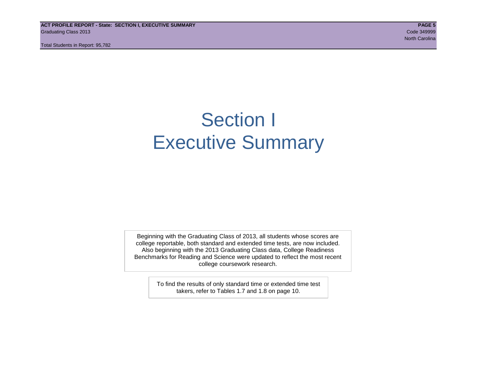**ACT PROFILE REPORT - State: SECTION I, EXECUTIVE SUMMARY PAGE 5** Graduating Class 2013 Code 349999

Total Students in Report: 95,782

# Section I Executive Summary

Beginning with the Graduating Class of 2013, all students whose scores are college reportable, both standard and extended time tests, are now included. Also beginning with the 2013 Graduating Class data, College Readiness Benchmarks for Reading and Science were updated to reflect the most recent college coursework research.

> To find the results of only standard time or extended time test takers, refer to Tables 1.7 and 1.8 on page 10.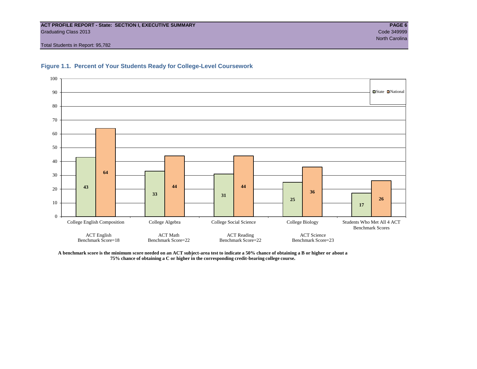#### **ACT PROFILE REPORT - State: SECTION I, EXECUTIVE SUMMARY PAGE 6** Graduating Class 2013 Code 349999

Total Students in Report: 95,782





**A benchmark score is the minimum score needed on an ACT subject-area test to indicate a 50% chance of obtaining a B or higher or about a 75% chance of obtaining a C or higher in the corresponding credit-bearing college course.**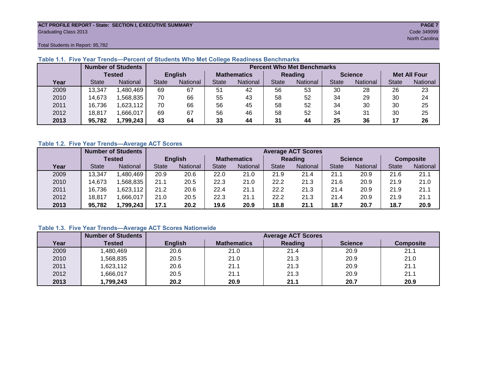#### **ACT PROFILE REPORT - State: SECTION I, EXECUTIVE SUMMARY PAGE 7** Graduating Class 2013 Code 349999

Total Students in Report: 95,782

|      | <b>Number of Students</b>       |               | <b>Percent Who Met Benchmarks</b> |          |                    |          |              |          |                |          |                     |          |  |  |
|------|---------------------------------|---------------|-----------------------------------|----------|--------------------|----------|--------------|----------|----------------|----------|---------------------|----------|--|--|
|      |                                 | <b>Tested</b> | <b>English</b>                    |          | <b>Mathematics</b> |          | Reading      |          | <b>Science</b> |          | <b>Met All Four</b> |          |  |  |
| Year | <b>State</b><br><b>National</b> |               | <b>State</b>                      | National | State              | National | <b>State</b> | National | <b>State</b>   | National | <b>State</b>        | National |  |  |
| 2009 | 13.347                          | 1,480,469     | 69                                | 67       | 51                 | 42       | 56           | 53       | 30             | 28       | 26                  | 23       |  |  |
| 2010 | 14,673                          | .568,835      | 70                                | 66       | 55                 | 43       | 58           | 52       | 34             | 29       | 30                  | 24       |  |  |
| 2011 | 16,736                          | 1,623,112     | 70                                | 66       | 56                 | 45       | 58           | 52       | 34             | 30       | 30                  | 25       |  |  |
| 2012 | 18,817                          | 1,666,017     | 69                                | 67       | 56                 | 46       | 58           | 52       | 34             | 31       | 30                  | 25       |  |  |
| 2013 | 95,782<br>1,799,243             |               | 43                                | 64       | 33                 | 44       | 31           | 44       | 25             | 36       |                     | 26       |  |  |

# **Table 1.1. Five Year Trends—Percent of Students Who Met College Readiness Benchmarks**

# **Table 1.2. Five Year Trends—Average ACT Scores**

|      | <b>Number of Students</b>       |          |              | <b>Average ACT Scores</b> |       |                    |              |                 |              |                |              |                  |  |  |  |
|------|---------------------------------|----------|--------------|---------------------------|-------|--------------------|--------------|-----------------|--------------|----------------|--------------|------------------|--|--|--|
|      |                                 | Tested   |              | <b>English</b>            |       | <b>Mathematics</b> |              | <b>Reading</b>  |              | <b>Science</b> |              | <b>Composite</b> |  |  |  |
| Year | <b>National</b><br><b>State</b> |          | <b>State</b> | National                  | State | National           | <b>State</b> | <b>National</b> | <b>State</b> | National       | <b>State</b> | National         |  |  |  |
| 2009 | 13.347                          | .480,469 | 20.9         | 20.6                      | 22.0  | 21.0               | 21.9         | 21.4            | 21.1         | 20.9           | 21.6         | 21.1             |  |  |  |
| 2010 | 14,673                          | .568.835 | 21.1         | 20.5                      | 22.3  | 21.0               | 22.2         | 21.3            | 21.6         | 20.9           | 21.9         | 21.0             |  |  |  |
| 2011 | 16,736                          | .623,112 | 21.2         | 20.6                      | 22.4  | 21.1               | 22.2         | 21.3            | 21.4         | 20.9           | 21.9         | 21.1             |  |  |  |
| 2012 | 18,817                          | .666,017 | 21.0         | 20.5                      | 22.3  | 21.1               | 22.2         | 21.3            | 21.4         | 20.9           | 21.9         | 21.1             |  |  |  |
| 2013 | 95,782                          | ,799,243 | 17.1         | 20.2                      | 19.6  | 20.9               | 18.8         | 21.1            | 18.7         | 20.7           | 18.7         | 20.9             |  |  |  |

# **Table 1.3. Five Year Trends—Average ACT Scores Nationwide**

|      | <b>Number of Students</b> |                | <b>Average ACT Scores</b> |         |                |                  |  |  |  |  |  |
|------|---------------------------|----------------|---------------------------|---------|----------------|------------------|--|--|--|--|--|
| Year | Tested                    | <b>English</b> | <b>Mathematics</b>        | Reading | <b>Science</b> | <b>Composite</b> |  |  |  |  |  |
| 2009 | ,480,469                  | 20.6           | 21.0                      | 21.4    | 20.9           | 21.1             |  |  |  |  |  |
| 2010 | ,568,835                  | 20.5           | 21.0                      | 21.3    | 20.9           | 21.0             |  |  |  |  |  |
| 2011 | ,623,112                  | 20.6           | 21.1                      | 21.3    | 20.9           | 21.1             |  |  |  |  |  |
| 2012 | ,666,017                  | 20.5           | 21.1                      | 21.3    | 20.9           | 21.1             |  |  |  |  |  |
| 2013 | 1,799,243                 | 20.2           | 20.9                      | 21.1    | 20.7           | 20.9             |  |  |  |  |  |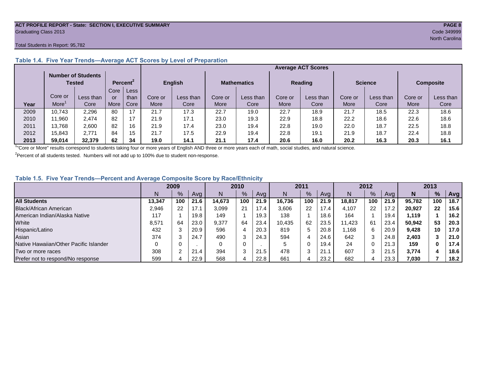#### **ACT PROFILE REPORT - State: SECTION I, EXECUTIVE SUMMARY PAGE 8** Graduating Class 2013 Code 349999

#### Total Students in Report: 95,782

|      |                   |                                     |      |                      |         |                |         |                    |         | <b>Average ACT Scores</b> |         |                |         |                  |
|------|-------------------|-------------------------------------|------|----------------------|---------|----------------|---------|--------------------|---------|---------------------------|---------|----------------|---------|------------------|
|      |                   | <b>Number of Students</b><br>Tested |      | Percent <sup>2</sup> |         | <b>English</b> |         | <b>Mathematics</b> |         | <b>Reading</b>            |         | <b>Science</b> |         | <b>Composite</b> |
|      | Core<br>Less      |                                     |      |                      |         |                |         |                    |         |                           |         |                |         |                  |
|      | Core or           | Less than                           | or   | than                 | Core or | Less than      | Core or | Less than          | Core or | Less than                 | Core or | Less than      | Core or | Less than        |
| Year | More <sup>'</sup> | Core                                | More | Core                 | More    | Core           | More    | Core               | More    | Core                      | More    | Core           | More    | Core             |
| 2009 | 10.743            | 2,296                               | 80   | 17                   | 21.7    | 17.3           | 22.7    | 19.0               | 22.7    | 18.9                      | 21.7    | 18.5           | 22.3    | 18.6             |
| 2010 | 11,960            | 2.474                               | 82   | 17                   | 21.9    | 17.1           | 23.0    | 19.3               | 22.9    | 18.8                      | 22.2    | 18.6           | 22.6    | 18.6             |
| 2011 | 13,768            | 2,600                               | 82   | 16                   | 21.9    | 17.4           | 23.0    | 19.4               | 22.8    | 19.0                      | 22.0    | 18.7           | 22.5    | 18.8             |
| 2012 | 15,843            | 2.771                               | 84   | 15                   | 21.7    | 17.5           | 22.9    | 19.4               | 22.8    | 19.1                      | 21.9    | 18.7           | 22.4    | 18.8             |
| 2013 | 59.014            | 32.379                              | 62   | 34                   | 19.0    | 14.1           | 21.1    | 17.4               | 20.6    | 16.0                      | 20.2    | 16.3           | 20.3    | 16.1             |

### **Table 1.4. Five Year Trends—Average ACT Scores by Level of Preparation**

<sup>1</sup>"Core or More" results correspond to students taking four or more years of English AND three or more years each of math, social studies, and natural science.

 $2$ Percent of all students tested. Numbers will not add up to 100% due to student non-response.

# **Table 1.5. Five Year Trends—Percent and Average Composite Score by Race/Ethnicity**

|                                        |        | 2009             |      |        | 2010          |      | 2011   |     |      | 2012   |     |      | 2013   |     |      |
|----------------------------------------|--------|------------------|------|--------|---------------|------|--------|-----|------|--------|-----|------|--------|-----|------|
|                                        | N      | N<br>$\%$<br>Avg |      |        | $\frac{9}{6}$ | Avg  | N      | %   | Avg  | Ν      | %   | Ava  | N      | %   | Avg  |
| <b>All Students</b>                    | 13.347 | 100              | 21.6 | 14.673 | 100           | 21.9 | 16.736 | 100 | 21.9 | 18.817 | 100 | 21.9 | 95,782 | 100 | 18.7 |
| <b>Black/African American</b>          | 2.946  | 22               | 17.1 | 3.099  | 21            | 17.4 | 3,606  | 22  | 17.4 | 4.107  | 22  | 17.2 | 20,927 | 22  | 15.6 |
| American Indian/Alaska Native          | 117    |                  | 19.8 | 149    |               | 19.3 | 138    |     | 18.6 | 164    |     | 19.4 | 1,119  |     | 16.2 |
| White                                  | 8,571  | 64               | 23.0 | 9,377  | 64            | 23.4 | 10,435 | 62  | 23.5 | 11.423 | 61  | 23.4 | 50.942 | 53  | 20.3 |
| Hispanic/Latino                        | 432    |                  | 20.9 | 596    | 4             | 20.3 | 819    | 5   | 20.8 | .168   | 6   | 20.9 | 9,428  | 10  | 17.0 |
| Asian                                  | 374    |                  | 24.7 | 490    | 3             | 24.3 | 594    | 4   | 24.6 | 642    |     | 24.8 | 2,403  |     | 21.0 |
| Native Hawaiian/Other Pacific Islander |        |                  |      | 0      | 0             |      |        | 0   | 19.4 | 24     |     | 21.3 | 159    | 0   | 17.4 |
| Two or more races                      | 308    |                  | 21.4 | 394    | 3             | 21.5 | 478    | 3   | 21.1 | 607    |     | 21.5 | 3,774  | Д   | 18.6 |
| Prefer not to respond/No response      | 599    |                  | 22.9 | 568    | 4             | 22.8 | 661    | 4   | 23.2 | 682    | 4   | 23.3 | 7,030  |     | 18.2 |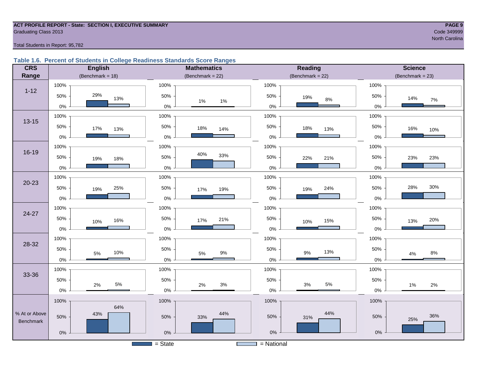#### **ACT PROFILE REPORT - State: SECTION I, EXECUTIVE SUMMARY PAGE 9 Graduating Class 2013** Code 349999 Code 349999

north Carolina and Carolina and Carolina and Carolina and Carolina and Carolina and Carolina and Carolina and C

#### Total Students in Report: 95,782

### **Table 1.6. Percent of Students in College Readiness Standards Score Ranges**

| <b>CRS</b>    | <b>English</b>       | <b>Mathematics</b>    | <b>Reading</b>         | <b>Science</b>       |  |  |
|---------------|----------------------|-----------------------|------------------------|----------------------|--|--|
| Range         | (Benchmark = $18$ )  | (Benchmark = $22$ )   | (Benchmark = $22$ )    | (Benchmark = $23$ )  |  |  |
|               | 100%                 | 100%                  | 100%                   | 100%                 |  |  |
| $1 - 12$      | 29%<br>50%<br>13%    | 50%<br>1%<br>$1\%$    | 50%<br>19%<br>$8\%$    | 50%<br>14%<br>7%     |  |  |
|               | $0\%$                | $0\%$                 | $0\%$                  | $0\%$                |  |  |
| $13 - 15$     | 100%                 | 100%                  | 100%                   | 100%                 |  |  |
|               | 50%<br>17%<br>13%    | 50%<br>18%<br>14%     | 50%<br>18%<br>13%      | 50%<br>16%<br>10%    |  |  |
|               | $0\%$                | $0\%$                 | $0\%$                  | $0\%$                |  |  |
| 16-19         | 100%                 | 100%                  | 100%                   | 100%                 |  |  |
|               | 50%<br>19%<br>18%    | 40%<br>33%<br>50%     | 50%<br>22%<br>21%      | 50%<br>23%<br>23%    |  |  |
|               | $0\%$                | $0\%$                 | $0\%$                  | $0\%$                |  |  |
| $20 - 23$     | 100%                 | 100%                  | 100%                   | 100%                 |  |  |
|               | 50%<br>25%<br>19%    | 50%<br>19%<br>17%     | 50%<br>24%<br>19%      | $30\%$<br>28%<br>50% |  |  |
|               | 0%                   | $0\%$                 | $0\%$                  | 0%                   |  |  |
| 24-27         | 100%                 | 100%                  | 100%                   | 100%                 |  |  |
|               | 50%<br>16%<br>10%    | 50%<br>21%<br>17%     | 50%<br>15%<br>10%      | 50%<br>20%<br>13%    |  |  |
|               | $0\%$                | $0\%$                 | $0\%$                  | $0\%$                |  |  |
| 28-32         | 100%                 | 100%                  | 100%                   | 100%                 |  |  |
|               | 50%<br>10%<br>$5\%$  | 50%<br>$9\%$<br>$5\%$ | 50%<br>13%<br>$9\%$    | 50%<br>$8\%$<br>4%   |  |  |
|               | $0\%$                | $0\%$                 | $0\%$                  | $0\%$                |  |  |
|               | 100%                 | 100%                  | 100%                   | 100%                 |  |  |
| 33-36         | 50%                  | 50%                   | 50%                    | 50%                  |  |  |
|               | $5\%$<br>2%<br>$0\%$ | $3%$<br>2%<br>$0\%$   | $5\%$<br>$3%$<br>$0\%$ | 2%<br>$1\%$<br>$0\%$ |  |  |
|               | 100%                 | 100%                  | 100%                   | 100%                 |  |  |
| % At or Above | 64%<br>43%           | 44%                   | 44%                    |                      |  |  |
| Benchmark     | 50%                  | 50%<br>33%            | 50%<br>31%             | 36%<br>50%<br>25%    |  |  |
|               | $0\%$                | $0\%$                 | $0\%$                  | $0\%$                |  |  |
|               |                      | $=$ State             | $=$ National           |                      |  |  |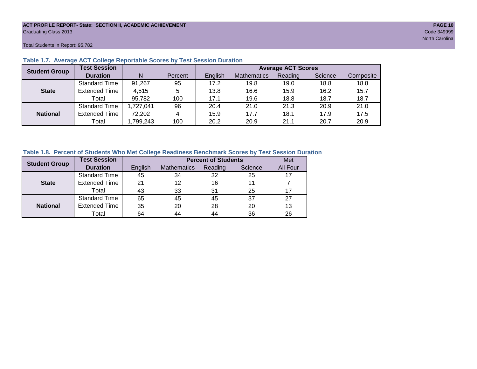#### **ACT PROFILE REPORT- State: SECTION II, ACADEMIC ACHIEVEMENT PAGE 10** Graduating Class 2013 Code 349999

Total Students in Report: 95,782

| <b>Student Group</b> | <b>Test Session</b>  |             |         |         | <b>Average ACT Scores</b> |         |         |           |  |  |  |  |  |  |
|----------------------|----------------------|-------------|---------|---------|---------------------------|---------|---------|-----------|--|--|--|--|--|--|
|                      | <b>Duration</b>      | N           | Percent | English | Mathematics               | Reading | Science | Composite |  |  |  |  |  |  |
|                      | <b>Standard Time</b> | 91,267      | 95      | 17.2    | 19.8                      | 19.0    | 18.8    | 18.8      |  |  |  |  |  |  |
| <b>State</b>         | <b>Extended Time</b> | 4,515       | 5       | 13.8    | 16.6                      | 15.9    | 16.2    | 15.7      |  |  |  |  |  |  |
|                      | Total                | 95,782      | 100     | 17.1    | 19.6                      | 18.8    | 18.7    | 18.7      |  |  |  |  |  |  |
|                      | <b>Standard Time</b> | 1,727,041   | 96      | 20.4    | 21.0                      | 21.3    | 20.9    | 21.0      |  |  |  |  |  |  |
| <b>National</b>      | <b>Extended Time</b> | 72,202<br>4 |         | 15.9    | 17.7                      | 18.1    | 17.9    | 17.5      |  |  |  |  |  |  |
|                      | Total                | ,799,243    | 100     | 20.2    | 20.9                      | 21.1    | 20.7    | 20.9      |  |  |  |  |  |  |

### **Table 1.7. Average ACT College Reportable Scores by Test Session Duration**

# **Table 1.8. Percent of Students Who Met College Readiness Benchmark Scores by Test Session Duration**

| <b>Student Group</b> | <b>Test Session</b>  |         | Met         |         |         |          |
|----------------------|----------------------|---------|-------------|---------|---------|----------|
|                      | <b>Duration</b>      | English | Mathematics | Reading | Science | All Four |
|                      | Standard Time        | 45      | 34          | 32      | 25      | 17       |
| <b>State</b>         | <b>Extended Time</b> | 21      | 12          | 16      | 11      |          |
|                      | Total                | 43      | 33          | 31      | 25      | 17       |
|                      | Standard Time        | 65      | 45          | 45      | 37      | 27       |
| <b>National</b>      | <b>Extended Time</b> | 35      | 20          | 28      | 20      | 13       |
|                      | Total                | 64      | 44          | 44      | 36      | 26       |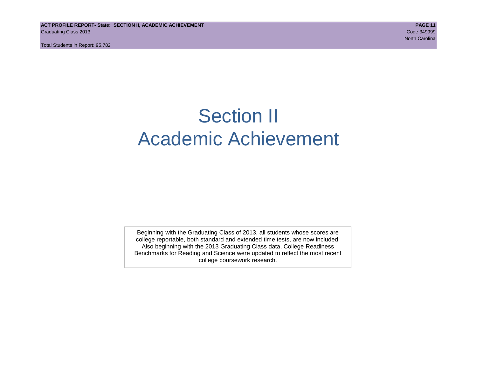# Section II Academic Achievement

Beginning with the Graduating Class of 2013, all students whose scores are college reportable, both standard and extended time tests, are now included. Also beginning with the 2013 Graduating Class data, College Readiness Benchmarks for Reading and Science were updated to reflect the most recent college coursework research.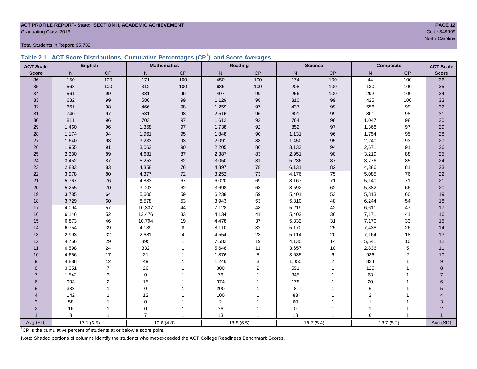# **ACT PROFILE REPORT- State: SECTION II, ACADEMIC ACHIEVEMENT PAGE 12** Code 349999 Code 349999 Code 349999 Code 349999 Code 349999 Code 349999 Code 349999 Code 349999 Code 349999 Code 349999 Code 349999 Code 349999 Code 349999 Code 349999 Code 349999 Code 349999 Code 349999 Code 349999 Code 3

Total Students in Report: 95,782

|  | Table 2.1. ACT Score Distributions, Cumulative Percentages (CP <sup>1</sup> ), and Score Averages |  |  |  |
|--|---------------------------------------------------------------------------------------------------|--|--|--|
|  |                                                                                                   |  |  |  |

| <b>ACT Scale</b> |                        | <b>English</b> |                | <b>Mathematics</b> |             | Reading        |             | <b>Science</b>          |                | Composite      | <b>ACT Scale</b> |
|------------------|------------------------|----------------|----------------|--------------------|-------------|----------------|-------------|-------------------------|----------------|----------------|------------------|
| <b>Score</b>     | N                      | <b>CP</b>      | N              | <b>CP</b>          | N           | CP             | N           | CP                      | N <sub>1</sub> | CP             | <b>Score</b>     |
| 36               | 150                    | 100            | $171$          | 100                | 450         | 100            | 174         | 100                     | 44             | 100            | 36               |
| 35               | 568                    | 100            | 312            | 100                | 685         | 100            | 208         | 100                     | 130            | 100            | 35               |
| 34               | 561                    | 99             | 381            | 99                 | 407         | 99             | 256         | 100                     | 292            | 100            | 34               |
| 33               | 682                    | 99             | 580            | 99                 | 1,129       | 98             | 310         | 99                      | 425            | 100            | 33               |
| 32               | 661                    | 98             | 466            | 98                 | 1,259       | 97             | 437         | 99                      | 556            | 99             | 32               |
| 31               | 740                    | 97             | 531            | 98                 | 2,516       | 96             | 601         | 99                      | 801            | 98             | 31               |
| 30               | 811                    | 96             | 703            | 97                 | 1,612       | 93             | 764         | 98                      | 1,047          | 98             | 30               |
| 29               | 1,460                  | 96             | 1,358          | 97                 | 1,738       | 92             | 852         | 97                      | 1,368          | 97             | 29               |
| 28               | 1,174                  | 94             | 1,961          | 95                 | 1,848       | 90             | 1,131       | 96                      | 1,754          | 95             | 28               |
| 27               | 1,640                  | 93             | 3,233          | 93                 | 2,091       | 88             | 1,450       | 95                      | 2,240          | 93             | 27               |
| 26               | 1,955                  | 91             | 3,063          | 90                 | 2,205       | 86             | 3,133       | 94                      | 2,671          | 91             | 26               |
| 25               | 2,330                  | 89             | 4,681          | 87                 | 2,387       | 83             | 2,951       | 90                      | 3,219          | 88             | 25               |
| 24               | 3,452                  | 87             | 5,253          | 82                 | 3,050       | 81             | 5,236       | 87                      | 3,776          | 85             | 24               |
| 23               | 2,883                  | 83             | 4,358          | ${\bf 76}$         | 4,897       | 78             | 6,131       | 82                      | 4,386          | 81             | 23               |
| 22               | 3,978                  | 80             | 4,377          | $72\,$             | 3,252       | 73             | 4,176       | 75                      | 5,085          | 76             | 22               |
| 21               | 5,767                  | 76             | 4,883          | 67                 | 6,020       | 69             | 8,167       | 71                      | 5,140          | 71             | 21               |
| 20               | 5,255                  | 70             | 3,003          | 62                 | 3,698       | 63             | 8,592       | 62                      | 5,382          | 66             | 20               |
| 19               | 3,785                  | 64             | 5,606          | 59                 | 6,238       | 59             | 5,401       | 53                      | 5,813          | 60             | 19               |
| 18               | 3,729                  | 60             | 8,578          | 53                 | 3,943       | 53             | 5,810       | 48                      | 6,244          | 54             | 18               |
| 17               | 4,094                  | 57             | 10,337         | 44                 | 7,128       | 48             | 5,219       | 42                      | 6,611          | 47             | 17               |
| 16               | 6,146                  | 52             | 13,476         | 33                 | 4,134       | 41             | 5,402       | 36                      | 7,171          | 41             | 16               |
| 15               | 6,873                  | 46             | 10,794         | 19                 | 4,478       | 37             | 5,332       | 31                      | 7,170          | 33             | 15               |
| 14               | 6,754                  | 39             | 4,139          | 8                  | 8,110       | 32             | 5,170       | 25                      | 7,438          | 26             | 14               |
| 13               | 2,993                  | 32             | 2,681          | $\overline{4}$     | 4,554       | 23             | 5,114       | $20\,$                  | 7,164          | 18             | 13               |
| 12               | 4,756                  | 29             | 395            | $\overline{1}$     | 7,582       | 19             | 4,135       | 14                      | 5,541          | 10             | 12               |
| 11               | 6,598                  | 24             | 332            |                    | 5,648       | 11             | 3,657       | 10                      | 2,836          | 5              | 11               |
| 10               | 4,656                  | 17             | 21             | $\overline{1}$     | 1,876       | 5              | 3,635       | 6                       | 936            | 2              | 10               |
| 9                | 4,888                  | 12             | 49             |                    | 1,246       | 3              | 1,055       | $\overline{\mathbf{c}}$ | 324            | $\overline{1}$ | 9                |
| 8                | 3,351                  | $\overline{7}$ | 26             |                    | 800         | $\overline{2}$ | 591         | 1                       | 125            |                | 8                |
| $\overline{7}$   | 1,542                  | 3              | $\mathbf 0$    |                    | 76          |                | 345         | 1                       | 63             |                | $\overline{7}$   |
| 6                | 993                    | $\overline{2}$ | 15             |                    | 374         |                | 178         | 1                       | 20             |                | 6                |
| 5                | 333                    |                | $\pmb{0}$      |                    | 200         |                | 8           | 1                       | 6              |                | 5                |
| 4                | 142                    |                | 12             |                    | 100         |                | 83          | 1                       | 2              |                |                  |
| 3                | 58                     |                | $\mathbf 0$    | $\overline{1}$     | $\mathbf 2$ |                | 60          | 1                       | $\overline{1}$ |                | 3                |
| $\overline{2}$   | 16                     | 1              | $\mathbf 0$    |                    | 36          |                | $\mathbf 0$ | $\mathbf{1}$            |                |                | $\overline{2}$   |
|                  | 8                      | $\mathbf{1}$   | $\overline{7}$ | $\mathbf{1}$       | 13          |                | 18          |                         | $\Omega$       | $\overline{1}$ |                  |
| Avg (SD)         | 19.6(4.8)<br>17.1(6.5) |                |                |                    | 18.8(6.5)   |                | 18.7(5.4)   |                         | 18.7(5.3)      | Avg (SD)       |                  |

<sup>1</sup>CP is the cumulative percent of students at or below a score point.

Note: Shaded portions of columns identify the students who met/exceeded the ACT College Readiness Benchmark Scores.

North Carolina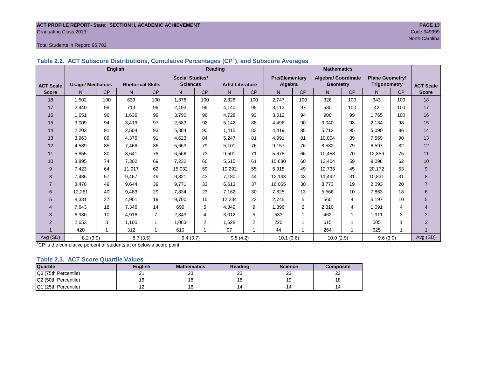#### **ACT PROFILE REPORT- State: SECTION II, ACADEMIC ACHIEVEMENT PAGE 13** Graduating Class 2013 Code 349999

**ACT Scale Score**

#### Total Students in Report: 95,782

|                  |                                                     | . .            |      |           |                                           |           |       |                    |                       |     |                            |     |                        |     |              |
|------------------|-----------------------------------------------------|----------------|------|-----------|-------------------------------------------|-----------|-------|--------------------|-----------------------|-----|----------------------------|-----|------------------------|-----|--------------|
|                  |                                                     | <b>English</b> |      |           |                                           | Reading   |       | <b>Mathematics</b> |                       |     |                            |     |                        |     |              |
|                  |                                                     |                |      |           | <b>Social Studies/</b>                    |           |       |                    | <b>Pre/Elementary</b> |     | <b>Algebra/ Coordinate</b> |     | <b>Plane Geometry/</b> |     |              |
| <b>ACT Scale</b> | <b>Rhetorical Skills</b><br><b>Usage/ Mechanics</b> |                |      |           | <b>Sciences</b><br><b>Arts/Literature</b> |           |       |                    | Algebra               |     | <b>Geometry</b>            |     | <b>Trigonometry</b>    |     | <b>ACT S</b> |
| <b>Score</b>     | N                                                   | <b>CP</b>      | N    | <b>CP</b> | N                                         | <b>CP</b> | N     | CP                 | N                     | CP  | N                          | СP  | N                      | CP  | Sco          |
| 18               | .502                                                | 100            | 639  | 100       | .378                                      | 100       | 2,326 | 100                | 2.747                 | 100 | 326                        | 100 | 343                    | 100 | 18           |
| 17               | 2.440                                               | 98             | 713  | 99        | 2.193                                     | 99        | 4.140 | 98                 | 3.113                 | 97  | 580                        | 100 | 42                     | 100 | 17           |
| 16               | .651                                                | 96             | .636 | 99        | 3.790                                     | 96        | 4.728 | 93                 | 3.612                 | 94  | 900                        | 99  | 1.765                  | 100 | 16           |

15 | 3,009 | 94 | 3,419 | 97 | 2,583 | 92 | 5,142 | 88 | 4,496 | 90 | 3,040 | 98 | 2,134 | 98 | 15 14 | 2,203 | 91 | 2,504 | 93 | 5,384 | 90 | 1,415 | 83 | 4,419 | 85 | 5,713 | 95 | 5,090 | 96 | 14 13 | 3,963 | 89 | 4,376 | 91 | 4,623 | 84 | 5,247 | 81 | 4,991 | 81 | 10,004 | 89 | 7,569 | 90 | 13 12 | 4,589 | 85 | 7,466 | 86 | 5,663 | 79 | 5,101 | 76 | 9,157 | 76 | 8,582 | 79 | 6,597 | 82 | 12 11 | 5,855 | 80 | 8,641 | 78 | 6,566 | 73 | 9,501 | 71 | 5,678 | 66 | 10,458 | 70 | 12,856 | 75 | 11 10 8,895 | 74 | 7,302 | 69 | 7,232 | 66 | 5,615 | 61 | 10,680 | 60 | 13,404 | 59 | 9,098 | 62 | 10 9 | 7,423 | 64 | 11,917 | 62 | 15,032 | 59 | 10,292 | 55 | 5,918 | 49 | 12,733 | 45 | 20,172 | 53 | 9 8 | 7,486 | 57 | 9,467 | 49 | 9,321 | 43 | 7,180 | 44 | 12,143 | 43 | 11,492 | 31 | 10,831 | 31 | 8 7 | 8,478 | 49 | 9,644 | 39 | 9,771 | 33 | 6,613 | 37 | 16,065 | 30 | 8,773 | 19 | 2,093 | 20 | 7 6 | 12,261 | 40 | 9,483 | 29 | 7,834 | 23 | 7,162 | 30 | 7,825 | 13 | 5,566 | 10 | 7,863 | 18 | 6 5 | 8,331 | 27 | 4,901 | 19 | 9,700 | 15 | 12,234 | 22 | 2,745 | 5 | 560 | 4 | 5,197 | 10 | 5 4 | 7,643 | 18 | 7,346 | 14 | 696 | 5 | 4,349 | 9 | 1,396 | 2 | 2,310 | 4 | 1,091 | 4 | 4 3 | 6,980 | 10 | 4,916 | 7 | 2,343 | 4 | 3,012 | 5 | 533 | 1 | 462 | 1 | 1,911 | 3 | 3 2 | 2,653 | 3 | 1,100 | 1 | 1,063 | 2 | 1,628 | 2 | 220 | 1 | 615 | 1 | 505 | 1 | 2 1 420 1 312 1 610 1 97 1 44 1 264 1 625 1 1

#### **Table 2.2. ACT Subscore Distributions, Cumulative Percentages (CP<sup>1</sup> ), and Subscore Averages**

Avg (SD) 8.2 (3.9) 8.7 (3.5) 9.4 (3.7) 9.5 (4.2) 10.1 (3.6) 10.0 (2.9) 9.6 (3.0) Avg (SD)  ${}^{1}$ CP is the cumulative percent of students at or below a score point.

#### **Table 2.3. ACT Score Quartile Values**

| <b>Quartile</b>      | <b>English</b> | <b>Mathematics</b> | Reading      | <b>Science</b> | Composite |
|----------------------|----------------|--------------------|--------------|----------------|-----------|
| Q3 (75th Percentile) | ∼              | ົ<br>ںے            | $\sim$<br>دے | nn             | --        |
| Q2 (50th Percentile) | $\epsilon$     |                    |              |                | ιU        |
| Q1 (25th Percentile) | . .            |                    | 1Δ.          |                |           |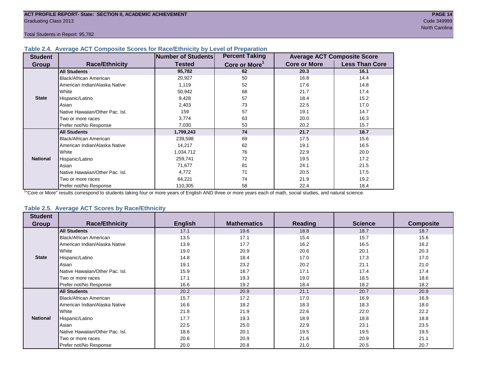Total Students in Report: 95,782

#### **Table 2.4. Average ACT Composite Scores for Race/Ethnicity by Level of Preparation**

| <b>Student</b>  |                                 | <b>Number of Students</b> | <b>Percent Taking</b>     |                     | <b>Average ACT Composite Score</b> |
|-----------------|---------------------------------|---------------------------|---------------------------|---------------------|------------------------------------|
| <b>Group</b>    | <b>Race/Ethnicity</b>           | Tested                    | Core or More <sup>1</sup> | <b>Core or More</b> | <b>Less Than Core</b>              |
|                 | <b>All Students</b>             | 95,782                    | 62                        | 20.3                | 16.1                               |
|                 | <b>Black/African American</b>   | 20,927                    | 50                        | 16.8                | 14.4                               |
|                 | American Indian/Alaska Native   | 1,119                     | 52                        | 17.6                | 14.8                               |
|                 | White                           | 50,942                    | 68                        | 21.7                | 17.4                               |
| <b>State</b>    | Hispanic/Latino                 | 9,428                     | 57                        | 18.4                | 15.2                               |
|                 | Asian                           | 2,403                     | 73                        | 22.5                | 17.0                               |
|                 | Native Hawaiian/Other Pac. Isl. | 159                       | 57                        | 19.1                | 14.7                               |
|                 | Two or more races               | 3,774                     | 63                        | 20.0                | 16.3                               |
|                 | Prefer not/No Response          | 7,030                     | 53                        | 20.2                | 15.7                               |
|                 | <b>All Students</b>             | 1,799,243                 | 74                        | 21.7                | 18.7                               |
|                 | Black/African American          | 239,598                   | 69                        | 17.5                | 15.6                               |
|                 | American Indian/Alaska Native   | 14,217                    | 62                        | 19.1                | 16.5                               |
|                 | White                           | 1,034,712                 | 76                        | 22.9                | 20.0                               |
| <b>National</b> | Hispanic/Latino                 | 259,741                   | 72                        | 19.5                | 17.2                               |
|                 | Asian                           | 71,677                    | 81                        | 24.1                | 21.5                               |
|                 | Native Hawaiian/Other Pac. Isl. | 4,772                     | 71                        | 20.5                | 17.5                               |
|                 | Two or more races               | 64,221                    | 74                        | 21.9                | 19.2                               |
|                 | Prefer not/No Response          | 110,305                   | 58                        | 22.4                | 18.4                               |

<sup>1</sup>"Core or More" results correspond to students taking four or more years of English AND three or more years each of math, social studies, and natural science.

#### **Table 2.5. Average ACT Scores by Race/Ethnicity**

| <b>Student</b>  | <b>Race/Ethnicity</b>           | <b>English</b> | <b>Mathematics</b> | <b>Reading</b> | <b>Science</b> | <b>Composite</b> |
|-----------------|---------------------------------|----------------|--------------------|----------------|----------------|------------------|
| <b>Group</b>    |                                 |                |                    |                |                |                  |
|                 | <b>All Students</b>             | 17.1           | 19.6               | 18.8           | 18.7           | 18.7             |
|                 | <b>Black/African American</b>   | 13.5           | 17.1               | 15.4           | 15.7           | 15.6             |
|                 | American Indian/Alaska Native   | 13.9           | 17.7               | 16.2           | 16.5           | 16.2             |
|                 | White                           | 19.0           | 20.9               | 20.6           | 20.1           | 20.3             |
| <b>State</b>    | Hispanic/Latino                 | 14.8           | 18.4               | 17.0           | 17.3           | 17.0             |
|                 | Asian                           | 19.1           | 23.2               | 20.2           | 21.1           | 21.0             |
|                 | Native Hawaiian/Other Pac. Isl. | 15.9           | 18.7               | 17.1           | 17.4           | 17.4             |
|                 | Two or more races               | 17.1           | 19.3               | 19.0           | 18.5           | 18.6             |
|                 | Prefer not/No Response          | 16.6           | 19.2               | 18.4           | 18.2           | 18.2             |
|                 | <b>All Students</b>             | 20.2           | 20.9               | 21.1           | 20.7           | 20.9             |
|                 | Black/African American          | 15.7           | 17.2               | 17.0           | 16.9           | 16.9             |
|                 | American Indian/Alaska Native   | 16.6           | 18.2               | 18.3           | 18.3           | 18.0             |
|                 | White                           | 21.8           | 21.9               | 22.6           | 22.0           | 22.2             |
| <b>National</b> | Hispanic/Latino                 | 17.7           | 19.3               | 18.9           | 18.8           | 18.8             |
|                 | Asian                           | 22.5           | 25.0               | 22.9           | 23.1           | 23.5             |
|                 | Native Hawaiian/Other Pac. Isl. | 18.6           | 20.1               | 19.5           | 19.5           | 19.5             |
|                 | Two or more races               | 20.6           | 20.9               | 21.6           | 20.9           | 21.1             |
|                 | Prefer not/No Response          | 20.0           | 20.8               | 21.0           | 20.5           | 20.7             |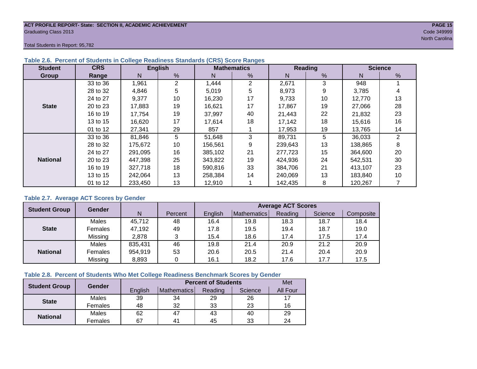#### **ACT PROFILE REPORT- State: SECTION II, ACADEMIC ACHIEVEMENT PAGE 15** Graduating Class 2013 Code 349999

north Carolina and Carolina and Carolina and Carolina and Carolina and Carolina and Carolina and Carolina and C

Total Students in Report: 95,782

| <b>Student</b>  | <b>CRS</b> |         | <b>English</b> |         | <b>Mathematics</b> |         | Reading |         | <b>Science</b> |
|-----------------|------------|---------|----------------|---------|--------------------|---------|---------|---------|----------------|
| Group           | Range      | N.      | %              | N       | %                  | N       | %       | N       | %              |
|                 | 33 to 36   | 1,961   | $\overline{2}$ | 1,444   | 2                  | 2,671   | 3       | 948     |                |
|                 | 28 to 32   | 4,846   | 5              | 5,019   | 5                  | 8,973   | 9       | 3,785   | 4              |
|                 | 24 to 27   | 9,377   | 10             | 16,230  | 17                 | 9,733   | 10      | 12,770  | 13             |
| <b>State</b>    | 20 to 23   | 17.883  | 19             | 16,621  | 17                 | 17.867  | 19      | 27,066  | 28             |
|                 | 16 to 19   | 17.754  | 19             | 37.997  | 40                 | 21.443  | 22      | 21.832  | 23             |
|                 | 13 to 15   | 16,620  | 17             | 17,614  | 18                 | 17,142  | 18      | 15,616  | 16             |
|                 | 01 to 12   | 27,341  | 29             | 857     |                    | 17,953  | 19      | 13,765  | 14             |
|                 | 33 to 36   | 81,846  | 5              | 51,648  | 3                  | 89,731  | 5       | 36,033  | 2              |
|                 | 28 to 32   | 175,672 | 10             | 156,561 | 9                  | 239,643 | 13      | 138,865 | 8              |
|                 | 24 to 27   | 291,095 | 16             | 385.102 | 21                 | 277,723 | 15      | 364,600 | 20             |
| <b>National</b> | 20 to 23   | 447,398 | 25             | 343.822 | 19                 | 424.936 | 24      | 542.531 | 30             |
|                 | 16 to 19   | 327,718 | 18             | 590,816 | 33                 | 384,706 | 21      | 413,107 | 23             |
|                 | 13 to 15   | 242,064 | 13             | 258,384 | 14                 | 240,069 | 13      | 183,840 | 10             |
|                 | 01 to 12   | 233,450 | 13             | 12,910  |                    | 142,435 | 8       | 120,267 |                |

# **Table 2.6. Percent of Students in College Readiness Standards (CRS) Score Ranges**

### **Table 2.7. Average ACT Scores by Gender**

| <b>Student Group</b> | <b>Gender</b> |         |         | <b>Average ACT Scores</b> |             |         |         |           |  |  |  |
|----------------------|---------------|---------|---------|---------------------------|-------------|---------|---------|-----------|--|--|--|
|                      |               | N       | Percent | English                   | Mathematics | Reading | Science | Composite |  |  |  |
|                      | Males         | 45,712  | 48      | 16.4                      | 19.8        | 18.3    | 18.7    | 18.4      |  |  |  |
| <b>State</b>         | Females       | 47,192  | 49      | 17.8                      | 19.5        | 19.4    | 18.7    | 19.0      |  |  |  |
|                      | Missing       | 2.878   | 3       | 15.4                      | 18.6        | 17.4    | 17.5    | 17.4      |  |  |  |
|                      | Males         | 835,431 | 46      | 19.8                      | 21.4        | 20.9    | 21.2    | 20.9      |  |  |  |
| <b>National</b>      | Females       | 954,919 | 53      | 20.6                      | 20.5        | 21.4    | 20.4    | 20.9      |  |  |  |
|                      | Missing       | 8,893   | 0       | 16.1                      | 18.2        | 17.6    | 17.7    | 17.5      |  |  |  |

#### **Table 2.8. Percent of Students Who Met College Readiness Benchmark Scores by Gender**

| <b>Student Group</b> | <b>Gender</b> |         | <b>Met</b>                                                                                                              |         |          |    |
|----------------------|---------------|---------|-------------------------------------------------------------------------------------------------------------------------|---------|----------|----|
|                      |               | English | <b>Percent of Students</b><br><b>Mathematics</b><br>Reading<br>29<br>34<br>32<br>33<br>43<br>47<br>45<br>4 <sup>1</sup> | Science | All Four |    |
| <b>State</b>         | Males         | 39      |                                                                                                                         |         | 26       | 17 |
|                      | Females       | 48      |                                                                                                                         |         | 23       | 16 |
| <b>National</b>      | <b>Males</b>  | 62      |                                                                                                                         |         | 40       | 29 |
|                      | Females       | 67      |                                                                                                                         |         | 33       | 24 |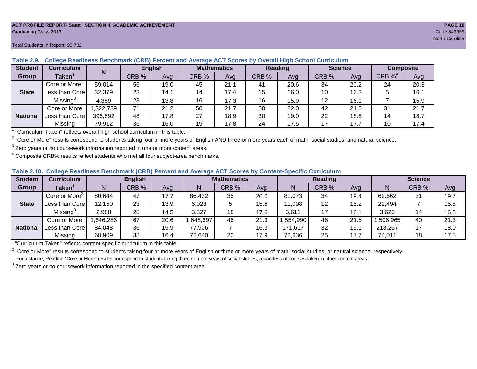#### **ACT PROFILE REPORT- State: SECTION II, ACADEMIC ACHIEVEMENT PAGE 16** Graduating Class 2013 Code 349999

#### **Student Curriculum English Mathematics Reading Science Composite Group Taken<sup>1</sup> | III CRB** % | Avg | CRB % | Avg | CRB % | Avg | CRB % | CRB %<sup>4</sup> Avg Core or More<sup>2</sup> 59,014 56 19.0 45 21.1 41 20.6 34 20.2 24 20.3 Less than Core | 32,379 | 23 | 14.1 | 14 | 17.4 | 15 | 16.0 | 10 | 16.3 | 5 | 16.1 Missing<sup>3</sup> 4,389 | 23 | 13.8 | 16 | 17.3 | 16 | 15.9 | 12 | 16.1 | 7 | 15.9 Core or More | 1,322,739 | 71 | 21.2 | 50 | 250 | 22.0 | 42 | 21.5 | 31 | 21.7 Less than Core 396,592 48 17.8 27 18.9 30 19.0 22 18.8 14 18.7 Missing | 79,912 | 36 | 16.0 | 19 | 17.8 | 24 | 17.5 | 17 | 17.7 | 10 | 17.4 **N State National**

**Table 2.9. College Readiness Benchmark (CRB) Percent and Average ACT Scores by Overall High School Curriculum**

<sup>1</sup> "Curriculum Taken" reflects overall high school curriculum in this table.

 $^2$  "Core or More" results correspond to students taking four or more years of English AND three or more years each of math, social studies, and natural science.

 $3$  Zero years or no coursework information reported in one or more content areas.

 $4$  Composite CRB% results reflect students who met all four subject-area benchmarks.

| Table 2.10. College Readiness Benchmark (CRB) Percent and Average ACT Scores by Content-Specific Curriculum |
|-------------------------------------------------------------------------------------------------------------|
|-------------------------------------------------------------------------------------------------------------|

| <b>Student</b>  | Curriculum                    |          | <b>English</b> |      |          | <b>Mathematics</b> |      |          | <b>Reading</b> |      | <b>Science</b> |       |      |
|-----------------|-------------------------------|----------|----------------|------|----------|--------------------|------|----------|----------------|------|----------------|-------|------|
| Group           | $\mathsf{Taken}^{\mathsf{T}}$ |          | CRB %          | Avg  | N        | CRB %              | Avg  | N        | CRB %          | Avg  | N              | CRB % | Avg  |
|                 | Core or More <sup>2</sup>     | 80,644   | 47             | 17.7 | 86,432   | 35                 | 20.0 | 81,073   | 34             | 19.4 | 69,662         | 31    | 19.7 |
| <b>State</b>    | Less than Core                | 12,150   | 23             | 13.9 | 6,023    |                    | 15.8 | 11,098   | 12             | 15.2 | 22,494         |       | 15.8 |
|                 | Missing <sup>3</sup>          | 2,988    | 28             | 14.5 | 3,327    | 18                 | 17.6 | 3,611    | 17             | 16.7 | 3,626          | 14    | 16.5 |
|                 | Core or More                  | .646,286 | 67             | 20.6 | ,648,697 | 46                 | 21.3 | .554,990 | 46             | 21.5 | ,506,965       | 40    | 21.3 |
| <b>National</b> | Less than Core                | 84,048   | 36             | 15.9 | 77,906   |                    | 16.3 | 171,617  | 32             | 19.7 | 218,267        |       | 18.0 |
|                 | Missing                       | 68,909   | 38             | 16.4 | 72,640   | 20                 | 17.9 | 72,636   | 25             | 17.7 | 74,011         | 18    | 17.8 |

<sup>1</sup>"Curriculum Taken" reflects content-specific curriculum in this table.

<sup>2</sup> "Core or More" results correspond to students taking four or more years of English or three or more years of math, social studies, or natural science, respectively. For instance, Reading "Core or More" results correspond to students taking three or more years of social studies, regardless of courses taken in other content areas.

 $3$  Zero years or no coursework information reported in the specified content area.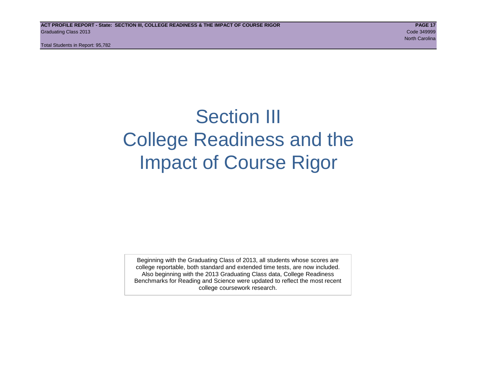Total Students in Report: 95,782

# Section III College Readiness and the Impact of Course Rigor

Beginning with the Graduating Class of 2013, all students whose scores are college reportable, both standard and extended time tests, are now included. Also beginning with the 2013 Graduating Class data, College Readiness Benchmarks for Reading and Science were updated to reflect the most recent college coursework research.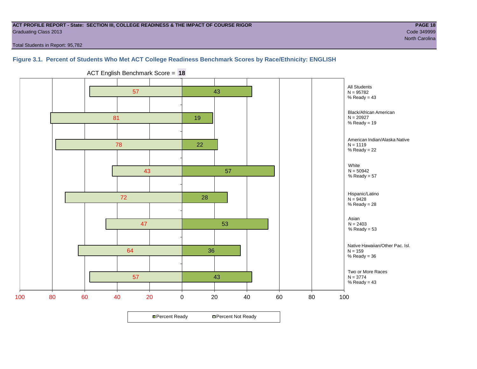#### **ACT PROFILE REPORT - State: SECTION III, COLLEGE READINESS & THE IMPACT OF COURSE RIGOR PAGE 18** Graduating Class 2013 Code 349999

Total Students in Report: 95,782

# **Figure 3.1. Percent of Students Who Met ACT College Readiness Benchmark Scores by Race/Ethnicity: ENGLISH**



ACT English Benchmark Score = **18**

**□ Percent Ready DPercent Not Ready**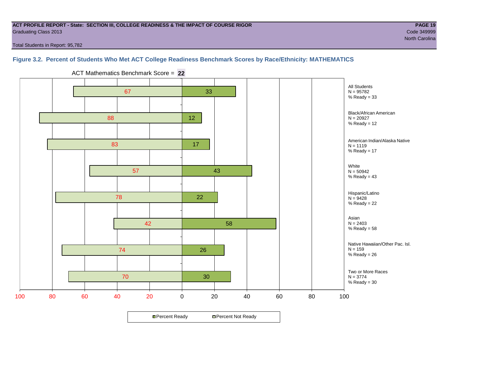#### **ACT PROFILE REPORT - State: SECTION III, COLLEGE READINESS & THE IMPACT OF COURSE RIGOR PAGE 19** Graduating Class 2013 Code 349999

north Carolina and Carolina and Carolina and Carolina and Carolina and Carolina and Carolina and Carolina and C

Total Students in Report: 95,782

# **Figure 3.2. Percent of Students Who Met ACT College Readiness Benchmark Scores by Race/Ethnicity: MATHEMATICS**



ACT Mathematics Benchmark Score = **22**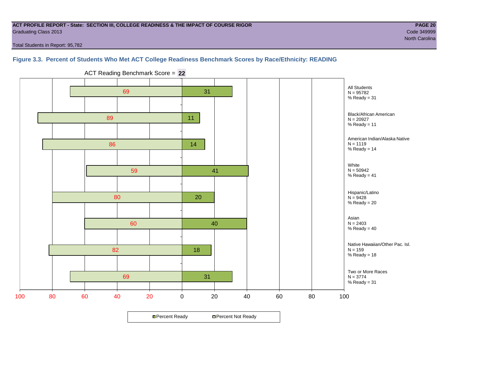#### **ACT PROFILE REPORT - State: SECTION III, COLLEGE READINESS & THE IMPACT OF COURSE RIGOR PAGE 20** Graduating Class 2013 Code 349999

Total Students in Report: 95,782

### **Figure 3.3. Percent of Students Who Met ACT College Readiness Benchmark Scores by Race/Ethnicity: READING**



ACT Reading Benchmark Score = **22**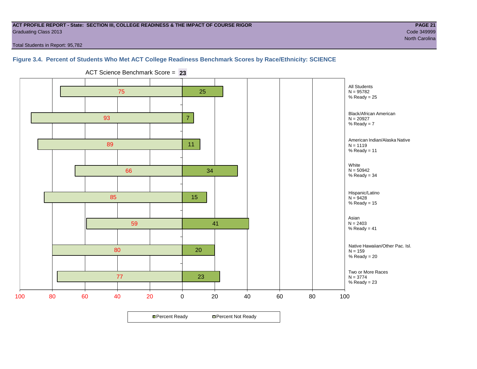#### **ACT PROFILE REPORT - State: SECTION III, COLLEGE READINESS & THE IMPACT OF COURSE RIGOR PAGE 21** Graduating Class 2013 Code 349999

north Carolina and Carolina and Carolina and Carolina and Carolina and Carolina and Carolina and Carolina and C

Total Students in Report: 95,782

# **Figure 3.4. Percent of Students Who Met ACT College Readiness Benchmark Scores by Race/Ethnicity: SCIENCE**



ACT Science Benchmark Score = **23**

**□ Percent Ready DPercent Not Ready**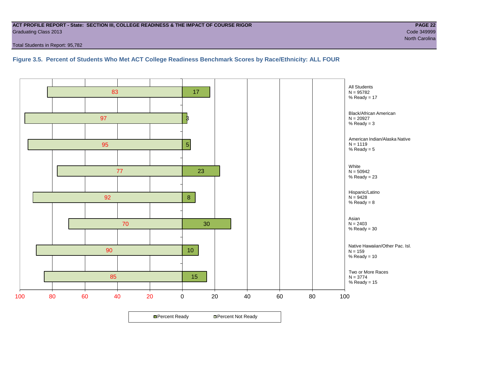#### **ACT PROFILE REPORT - State: SECTION III, COLLEGE READINESS & THE IMPACT OF COURSE RIGOR PAGE 22** Graduating Class 2013 Code 349999

Total Students in Report: 95,782

**Figure 3.5. Percent of Students Who Met ACT College Readiness Benchmark Scores by Race/Ethnicity: ALL FOUR**

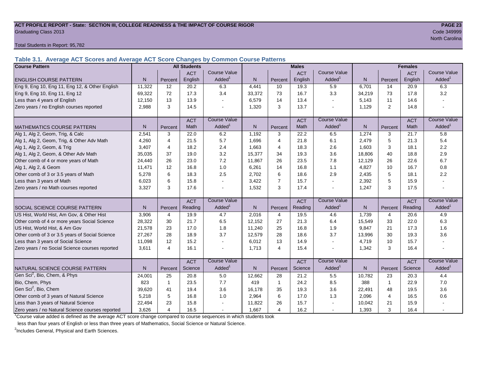#### **ACT PROFILE REPORT - State: SECTION III, COLLEGE READINESS & THE IMPACT OF COURSE RIGOR PAGE 23** Graduating Class 2013 Code 349999

Total Students in Report: 95,782

**Table 3.1. Average ACT Scores and Average ACT Score Changes by Common Course Patterns**

| <b>Course Pattern</b>                            |        |                | <b>All Students</b> |                       |              |                | <b>Males</b> |                          |              |                | <b>Females</b> |                        |
|--------------------------------------------------|--------|----------------|---------------------|-----------------------|--------------|----------------|--------------|--------------------------|--------------|----------------|----------------|------------------------|
|                                                  |        |                | <b>ACT</b>          | <b>Course Value</b>   |              |                | <b>ACT</b>   | <b>Course Value</b>      |              |                | <b>ACT</b>     | <b>Course Value</b>    |
| <b>ENGLISH COURSE PATTERN</b>                    | N.     | Percent        | English             | Added <sup>1</sup>    | $\mathsf{N}$ | Percent        | English      | Added                    | N            | Percent        | English        | A d d e d <sup>1</sup> |
| Eng 9, Eng 10, Eng 11, Eng 12, & Other English   | 11,322 | 12             | 20.2                | 6.3                   | 4,441        | 10             | 19.3         | 5.9                      | 6,701        | 14             | 20.9           | 6.3                    |
| Eng 9, Eng 10, Eng 11, Eng 12                    | 69,322 | 72             | 17.3                | 3.4                   | 33,372       | 73             | 16.7         | 3.3                      | 34,219       | 73             | 17.8           | 3.2                    |
| Less than 4 years of English                     | 12,150 | 13             | 13.9                |                       | 6,579        | 14             | 13.4         | $\sim$                   | 5,143        | 11             | 14.6           |                        |
| Zero years / no English courses reported         | 2,988  | 3              | 14.5                |                       | 1,320        | 3              | 13.7         | $\blacksquare$           | 1,129        | 2              | 14.8           |                        |
|                                                  |        |                | <b>ACT</b>          | <b>Course Value</b>   |              |                | <b>ACT</b>   | <b>Course Value</b>      |              |                | <b>ACT</b>     | <b>Course Value</b>    |
| <b>MATHEMATICS COURSE PATTERN</b>                | N.     | Percent        | Math                | $A$ dded <sup>1</sup> | N            | Percent        | Math         | Added <sup>1</sup>       | N            | Percent        | <b>Math</b>    | $A$ dded <sup>1</sup>  |
| Alg 1, Alg 2, Geom, Trig, & Calc                 | 2,541  | 3              | 22.0                | 6.2                   | 1,192        | 3              | 22.2         | 6.5                      | 1,274        | 3              | 21.7           | 5.8                    |
| Alg 1, Alg 2, Geom, Trig, & Other Adv Math       | 4.260  | $\overline{4}$ | 21.5                | 5.7                   | 1,696        | $\overline{4}$ | 21.8         | 6.1                      | 2,479        | 5              | 21.3           | 5.4                    |
| Alg 1, Alg 2, Geom, & Trig                       | 3,407  | $\overline{4}$ | 18.2                | 2.4                   | 1,663        | 4              | 18.3         | 2.6                      | 1,603        | 3              | 18.1           | 2.2                    |
| Alg 1, Alg 2, Geom, & Other Adv Math             | 35,035 | 37             | 19.0                | 3.2                   | 15,377       | 34             | 19.3         | 3.6                      | 18,806       | 40             | 18.8           | 2.9                    |
| Other comb of 4 or more years of Math            | 24,440 | 26             | 23.0                | 7.2                   | 11,867       | 26             | 23.5         | 7.8                      | 12,129       | 26             | 22.6           | 6.7                    |
| Alg 1, Alg 2, & Geom                             | 11.471 | 12             | 16.8                | 1.0                   | 6,261        | 14             | 16.8         | 1.1                      | 4,827        | 10             | 16.7           | 0.8                    |
| Other comb of 3 or 3.5 years of Math             | 5,278  | 6              | 18.3                | 2.5                   | 2,702        | 6              | 18.6         | 2.9                      | 2,435        | 5              | 18.1           | 2.2                    |
| Less than 3 years of Math                        | 6,023  | 6              | 15.8                |                       | 3,422        | $\overline{7}$ | 15.7         | $\overline{\phantom{a}}$ | 2,392        | 5              | 15.9           |                        |
| Zero years / no Math courses reported            | 3.327  | 3              | 17.6                |                       | 1,532        | 3              | 17.4         | $\overline{\phantom{a}}$ | 1,247        | 3              | 17.5           |                        |
|                                                  |        |                | <b>ACT</b>          | <b>Course Value</b>   |              |                | <b>ACT</b>   | <b>Course Value</b>      |              |                | <b>ACT</b>     | <b>Course Value</b>    |
| <b>SOCIAL SCIENCE COURSE PATTERN</b>             | N.     | Percent        | Reading             | Added <sup>1</sup>    | $\mathsf{N}$ | Percent        | Reading      | Added                    | $\mathsf{N}$ | Percent        | Reading        | A d d e d <sup>1</sup> |
| US Hist, World Hist, Am Gov, & Other Hist        | 3,906  | 4              | 19.9                | 4.7                   | 2,016        | 4              | 19.5         | 4.6                      | 1,739        | 4              | 20.6           | 4.9                    |
| Other comb of 4 or more years Social Science     | 28,322 | 30             | 21.7                | 6.5                   | 12,152       | 27             | 21.3         | 6.4                      | 15,549       | 33             | 22.0           | 6.3                    |
| US Hist, World Hist, & Am Gov                    | 21,578 | 23             | 17.0                | 1.8                   | 11,240       | 25             | 16.8         | 1.9                      | 9,847        | 21             | 17.3           | 1.6                    |
| Other comb of 3 or 3.5 years of Social Science   | 27,267 | 28             | 18.9                | 3.7                   | 12,579       | 28             | 18.6         | 3.7                      | 13,996       | 30             | 19.3           | 3.6                    |
| Less than 3 years of Social Science              | 11,098 | 12             | 15.2                |                       | 6,012        | 13             | 14.9         | $\sim$                   | 4,719        | 10             | 15.7           |                        |
| Zero years / no Social Science courses reported  | 3,611  | 4              | 16.1                |                       | 1,713        | $\overline{4}$ | 15.4         | $\overline{\phantom{a}}$ | 1,342        | 3              | 16.4           |                        |
|                                                  |        |                | <b>ACT</b>          | <b>Course Value</b>   |              |                | <b>ACT</b>   | <b>Course Value</b>      |              |                | <b>ACT</b>     | <b>Course Value</b>    |
| <b>INATURAL SCIENCE COURSE PATTERN</b>           | N.     | Percent        | Science             | Added <sup>1</sup>    | $\mathsf{N}$ | Percent        | Science      | Added <sup>1</sup>       | $\mathsf{N}$ | Percent        | Science        | A d d e d <sup>1</sup> |
| Gen Sci <sup>2</sup> , Bio, Chem, & Phys         | 24,001 | 25             | 20.8                | 5.0                   | 12,662       | 28             | 21.2         | 5.5                      | 10,782       | 23             | 20.3           | 4.4                    |
| Bio, Chem, Phys                                  | 823    | $\overline{1}$ | 23.5                | 7.7                   | 419          | $\mathbf{1}$   | 24.2         | 8.5                      | 388          | $\mathbf{1}$   | 22.9           | $7.0$                  |
| Gen Sci <sup>2</sup> , Bio, Chem                 | 39,620 | 41             | 19.4                | 3.6                   | 16,178       | 35             | 19.3         | 3.6                      | 22,491       | 48             | 19.5           | 3.6                    |
| Other comb of 3 years of Natural Science         | 5,218  | 5              | 16.8                | 1.0                   | 2,964        | 6              | 17.0         | 1.3                      | 2,096        | $\overline{4}$ | 16.5           | 0.6                    |
| Less than 3 years of Natural Science             | 22,494 | 23             | 15.8                |                       | 11,822       | 26             | 15.7         |                          | 10,042       | 21             | 15.9           |                        |
| Zero years / no Natural Science courses reported | 3,626  | $\overline{4}$ | 16.5                |                       | 1,667        | $\overline{4}$ | 16.2         | $\sim$                   | 1,393        | 3              | 16.4           |                        |

<sup>1</sup>Course value added is defined as the average ACT score change compared to course sequences in which students took

less than four years of English or less than three years of Mathematics, Social Science or Natural Science.

<sup>2</sup>Includes General, Physical and Earth Sciences.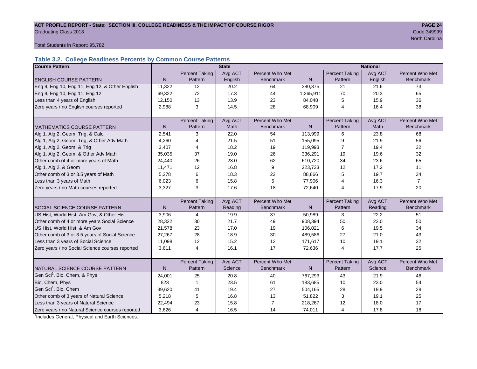#### ACT PROFILE REPORT - State: SECTION III, COLLEGE READINESS & THE IMPACT OF COURSE RIGOR **PAGE 24** Graduating Class 2013 Code 349999

north Carolina and Carolina and Carolina and Carolina and Carolina and Carolina and Carolina and Carolina and C

Total Students in Report: 95,782

# **Table 3.2. College Readiness Percents by Common Course Patterns**

| <b>Course Pattern</b>                            |              |                       | <b>State</b> |                  |           | <b>National</b><br>Percent Who Met |         |                  |  |
|--------------------------------------------------|--------------|-----------------------|--------------|------------------|-----------|------------------------------------|---------|------------------|--|
|                                                  |              | <b>Percent Taking</b> | Avg ACT      | Percent Who Met  |           | <b>Percent Taking</b>              | Avg ACT |                  |  |
| <b>ENGLISH COURSE PATTERN</b>                    | $\mathsf{N}$ | Pattern               | English      | <b>Benchmark</b> | N         | Pattern                            | English | <b>Benchmark</b> |  |
| Eng 9, Eng 10, Eng 11, Eng 12, & Other English   | 11,322       | 12                    | 20.2         | 64               | 380,375   | 21                                 | 21.6    | 73               |  |
| Eng 9, Eng 10, Eng 11, Eng 12                    | 69,322       | 72                    | 17.3         | 44               | 1,265,911 | 70                                 | 20.3    | 65               |  |
| Less than 4 years of English                     | 12,150       | 13                    | 13.9         | 23               | 84,048    | 5                                  | 15.9    | 36               |  |
| Zero years / no English courses reported         | 2,988        | 3                     | 14.5         | 28               | 68,909    | 4                                  | 16.4    | 38               |  |
|                                                  |              |                       |              |                  |           |                                    |         |                  |  |
|                                                  |              | <b>Percent Taking</b> | Avg ACT      | Percent Who Met  |           | <b>Percent Taking</b>              | Avg ACT | Percent Who Met  |  |
| <b>MATHEMATICS COURSE PATTERN</b>                | N            | Pattern               | <b>Math</b>  | <b>Benchmark</b> | N         | Pattern                            | Math    | <b>Benchmark</b> |  |
| Alg 1, Alg 2, Geom, Trig, & Calc                 | 2,541        | 3                     | 22.0         | 54               | 113,999   | 6                                  | 23.8    | 68               |  |
| Alg 1, Alg 2, Geom, Trig, & Other Adv Math       | 4,260        | 4                     | 21.5         | 51               | 155,095   | 9                                  | 21.9    | 56               |  |
| Alg 1, Alg 2, Geom, & Trig                       | 3,407        | 4                     | 18.2         | 19               | 119,993   | 7                                  | 19.4    | 32               |  |
| Alg 1, Alg 2, Geom, & Other Adv Math             | 35,035       | 37                    | 19.0         | 26               | 336,291   | 19                                 | 19.6    | 32               |  |
| Other comb of 4 or more years of Math            | 24,440       | 26                    | 23.0         | 62               | 610,720   | 34                                 | 23.6    | 65               |  |
| Alg 1, Alg 2, & Geom                             | 11.471       | 12                    | 16.8         | 9                | 223,733   | 12                                 | 17.2    | 11               |  |
| Other comb of 3 or 3.5 years of Math             | 5,278        | 6                     | 18.3         | 22               | 88,866    | 5                                  | 19.7    | 34               |  |
| Less than 3 years of Math                        | 6,023        | 6                     | 15.8         | 5                | 77,906    | 4                                  | 16.3    | $\overline{7}$   |  |
| Zero years / no Math courses reported            | 3,327        | 3                     | 17.6         | 18               | 72,640    | 4                                  | 17.9    | 20               |  |
|                                                  |              |                       |              |                  |           |                                    |         |                  |  |
|                                                  |              | <b>Percent Taking</b> | Avg ACT      | Percent Who Met  |           | <b>Percent Taking</b>              | Avg ACT | Percent Who Met  |  |
| <b>SOCIAL SCIENCE COURSE PATTERN</b>             | $\mathsf{N}$ | Pattern               | Reading      | <b>Benchmark</b> | N         | Pattern                            | Reading | <b>Benchmark</b> |  |
| US Hist, World Hist, Am Gov, & Other Hist        | 3,906        | 4                     | 19.9         | 37               | 50,989    | 3                                  | 22.2    | 51               |  |
| Other comb of 4 or more years Social Science     | 28,322       | 30                    | 21.7         | 49               | 908,394   | 50                                 | 22.0    | 50               |  |
| US Hist, World Hist, & Am Gov                    | 21,578       | 23                    | 17.0         | 19               | 106,021   | 6                                  | 19.5    | 34               |  |
| Other comb of 3 or 3.5 years of Social Science   | 27,267       | 28                    | 18.9         | 30               | 489,586   | 27                                 | 21.0    | 43               |  |
| Less than 3 years of Social Science              | 11,098       | 12                    | 15.2         | 12               | 171,617   | 10                                 | 19.1    | 32               |  |
| Zero years / no Social Science courses reported  | 3,611        | 4                     | 16.1         | 17               | 72,636    | $\overline{4}$                     | 17.7    | 25               |  |
|                                                  |              |                       |              |                  |           |                                    |         |                  |  |
|                                                  |              | <b>Percent Taking</b> | Avg ACT      | Percent Who Met  |           | <b>Percent Taking</b>              | Avg ACT | Percent Who Met  |  |
| NATURAL SCIENCE COURSE PATTERN                   | N            | Pattern               | Science      | <b>Benchmark</b> | N         | Pattern                            | Science | <b>Benchmark</b> |  |
| Gen Sci <sup>1</sup> , Bio, Chem, & Phys         | 24,001       | 25                    | 20.8         | 40               | 767,293   | 43                                 | 21.9    | 46               |  |
| Bio, Chem, Phys                                  | 823          | $\mathbf{1}$          | 23.5         | 61               | 183,685   | 10                                 | 23.0    | 54               |  |
| Gen Sci <sup>1</sup> , Bio, Chem                 | 39,620       | 41                    | 19.4         | 27               | 504,165   | 28                                 | 19.9    | 28               |  |
| Other comb of 3 years of Natural Science         | 5,218        | 5                     | 16.8         | 13               | 51,822    | 3                                  | 19.1    | 25               |  |
| Less than 3 years of Natural Science             | 22,494       | 23                    | 15.8         | $\overline{7}$   | 218,267   | 12                                 | 18.0    | 17               |  |
| Zero years / no Natural Science courses reported | 3,626        | 4                     | 16.5         | 14               | 74,011    | $\overline{4}$                     | 17.8    | 18               |  |

<sup>1</sup>Includes General, Physical and Earth Sciences.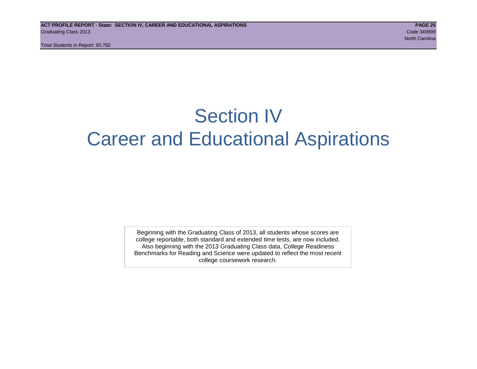Total Students in Report: 95,782

# Section IV Career and Educational Aspirations

Beginning with the Graduating Class of 2013, all students whose scores are college reportable, both standard and extended time tests, are now included. Also beginning with the 2013 Graduating Class data, College Readiness Benchmarks for Reading and Science were updated to reflect the most recent college coursework research.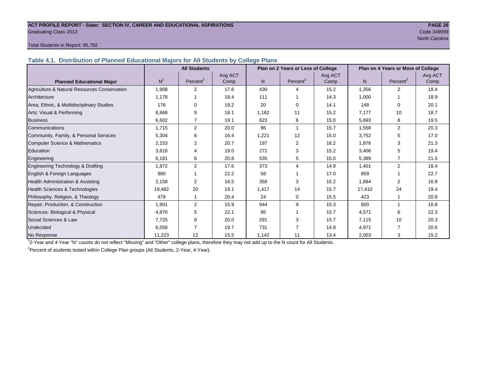#### **ACT PROFILE REPORT - State: SECTION IV, CAREER AND EDUCATIONAL ASPIRATIONS PAGE 26** Graduating Class 2013 Code 349999

# north Carolina and Carolina and Carolina and Carolina and Carolina and Carolina and Carolina and Carolina and C

#### Total Students in Report: 95,782

**Table 4.1. Distribution of Planned Educational Majors for All Students by College Plans**

|                                              |                | <b>All Students</b>  |                 |       | Plan on 2 Years or Less of College |                 | Plan on 4 Years or More of College |                      |                 |  |
|----------------------------------------------|----------------|----------------------|-----------------|-------|------------------------------------|-----------------|------------------------------------|----------------------|-----------------|--|
| <b>Planned Educational Major</b>             | N <sup>1</sup> | Percent <sup>2</sup> | Avg ACT<br>Comp | N.    | Percent <sup>2</sup>               | Avg ACT<br>Comp | N                                  | Percent <sup>2</sup> | Avg ACT<br>Comp |  |
| Agriculture & Natural Resources Conservation | 1,908          | 2                    | 17.6            | 430   | 4                                  | 15.2            | 1,356                              | $\overline{2}$       | 18.4            |  |
| Architecture                                 | 1.178          |                      | 18.4            | 111   |                                    | 14.3            | 1.000                              |                      | 18.9            |  |
| Area, Ethnic, & Multidisciplinary Studies    | 176            | 0                    | 19.2            | 20    | $\Omega$                           | 14.1            | 148                                | $\Omega$             | 20.1            |  |
| Arts: Visual & Performing                    | 8.868          | 9                    | 18.1            | 1.162 | 11                                 | 15.2            | 7.177                              | 10                   | 18.7            |  |
| <b>Business</b>                              | 6,602          | 7                    | 19.1            | 623   | 6                                  | 15.0            | 5,693                              | 8                    | 19.5            |  |
| Communications                               | 1,715          | $\overline{2}$       | 20.0            | 96    | 1                                  | 15.7            | 1,558                              | 2                    | 20.3            |  |
| Community, Family, & Personal Services       | 5,304          | 6                    | 16.4            | 1,221 | 12                                 | 15.0            | 3,752                              | 5                    | 17.0            |  |
| Computer Science & Mathematics               | 2,153          | 2                    | 20.7            | 197   | 2                                  | 16.2            | 1,876                              | 3                    | 21.3            |  |
| <b>Education</b>                             | 3,818          | 4                    | 19.0            | 272   | 3                                  | 15.2            | 3,406                              | 5                    | 19.4            |  |
| Engineering                                  | 6,181          | 6                    | 20.8            | 535   | 5                                  | 15.0            | 5,389                              | 7                    | 21.5            |  |
| Engineering Technology & Drafting            | 1,872          | 2                    | 17.6            | 373   | 4                                  | 14.9            | 1.401                              | $\overline{2}$       | 18.4            |  |
| English & Foreign Languages                  | 980            |                      | 22.2            | 58    |                                    | 17.0            | 859                                |                      | 22.7            |  |
| Health Administration & Assisting            | 2,158          | 2                    | 16.5            | 358   | 3                                  | 15.2            | 1,684                              | 2                    | 16.9            |  |
| Health Sciences & Technologies               | 19,482         | 20                   | 19.1            | 1,417 | 14                                 | 15.7            | 17,410                             | 24                   | 19.4            |  |
| Philosophy, Religion, & Theology             | 479            |                      | 20.4            | 24    | 0                                  | 15.5            | 423                                |                      | 20.8            |  |
| Repair, Production, & Construction           | 1,901          | 2                    | 15.9            | 944   | 9                                  | 15.3            | 800                                |                      | 16.8            |  |
| Sciences: Biological & Physical              | 4,870          | 5                    | 22.1            | 95    |                                    | 15.7            | 4,571                              | 6                    | 22.3            |  |
| Social Sciences & Law                        | 7,725          | 8                    | 20.0            | 291   | 3                                  | 15.7            | 7,115                              | 10                   | 20.3            |  |
| <b>Undecided</b>                             | 6,558          |                      | 19.7            | 731   |                                    | 14.9            | 4,971                              | 7                    | 20.6            |  |
| No Response                                  | 11,223         | 12                   | 15.5            | 1,142 | 11                                 | 13.4            | 2,003                              | 3                    | 15.2            |  |

1 2-Year and 4-Year "N" counts do not reflect "Missing" and "Other" college plans, therefore they may not add up to the N count for All Students.

<sup>2</sup> Percent of students tested within College Plan groups (All Students, 2-Year, 4-Year).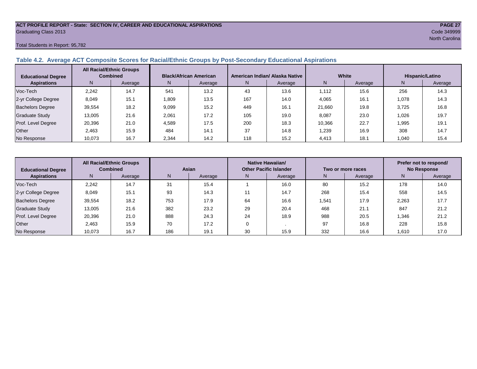#### **ACT PROFILE REPORT - State: SECTION IV, CAREER AND EDUCATIONAL ASPIRATIONS PAGE 27** Graduating Class 2013 Code 349999

#### Total Students in Report: 95,782

# **Table 4.2. Average ACT Composite Scores for Racial/Ethnic Groups by Post-Secondary Educational Aspirations**

| <b>Educational Degree</b> |        | <b>All Racial/Ethnic Groups</b><br><b>Combined</b> |             | <b>Black/African American</b> |     | American Indian/ Alaska Native |        | White   | Hispanic/Latino |         |  |
|---------------------------|--------|----------------------------------------------------|-------------|-------------------------------|-----|--------------------------------|--------|---------|-----------------|---------|--|
| <b>Aspirations</b>        | N      | Average                                            | N.          | Average                       | N.  | Average                        | N      | Average | N               | Average |  |
| Voc-Tech                  | 2.242  | 14.7                                               | 541         | 13.2                          | 43  | 13.6                           | 1.112  | 15.6    | 256             | 14.3    |  |
| 2-yr College Degree       | 8,049  | 15.1                                               | <b>809,</b> | 13.5                          | 167 | 14.0                           | 4,065  | 16.1    | 1,078           | 14.3    |  |
| <b>Bachelors Degree</b>   | 39,554 | 18.2                                               | 9,099       | 15.2                          | 449 | 16.1                           | 21,660 | 19.8    | 3.725           | 16.8    |  |
| Graduate Study            | 13,005 | 21.6                                               | 2.061       | 17.2                          | 105 | 19.0                           | 8,087  | 23.0    | 1.026           | 19.7    |  |
| Prof. Level Degree        | 20,396 | 21.0                                               | 4,589       | 17.5                          | 200 | 18.3                           | 10,366 | 22.7    | 1.995           | 19.1    |  |
| Other                     | 2.463  | 15.9                                               | 484         | 14.1                          | 37  | 14.8                           | 1,239  | 16.9    | 308             | 14.7    |  |
| No Response               | 10,073 | 16.7                                               | 2.344       | 14.2                          | 118 | 15.2                           | 4,413  | 18.1    | 1,040           | 15.4    |  |

| <b>Educational Degree</b> | <b>All Racial/Ethnic Groups</b><br><b>Combined</b> |         | Asian |         | Native Hawaiian/<br><b>Other Pacific Islander</b> |         | Two or more races |         | Prefer not to respond/<br><b>No Response</b> |         |  |
|---------------------------|----------------------------------------------------|---------|-------|---------|---------------------------------------------------|---------|-------------------|---------|----------------------------------------------|---------|--|
| <b>Aspirations</b>        | N <sub>1</sub>                                     | Average | N.    | Average | N.                                                | Average | N                 | Average | N                                            | Average |  |
| Voc-Tech                  | 2.242                                              | 14.7    | 31    | 15.4    |                                                   | 16.0    | 80                | 15.2    | 178                                          | 14.0    |  |
| 2-yr College Degree       | 8,049                                              | 15.1    | 93    | 14.3    |                                                   | 14.7    | 268               | 15.4    | 558                                          | 14.5    |  |
| <b>Bachelors Degree</b>   | 39,554                                             | 18.2    | 753   | 17.9    | 64                                                | 16.6    | 1,541             | 17.9    | 2,263                                        | 17.7    |  |
| <b>Graduate Study</b>     | 13,005                                             | 21.6    | 382   | 23.2    | 29                                                | 20.4    | 468               | 21.1    | 847                                          | 21.2    |  |
| Prof. Level Degree        | 20,396                                             | 21.0    | 888   | 24.3    | 24                                                | 18.9    | 988               | 20.5    | 1.346                                        | 21.2    |  |
| Other                     | 2.463                                              | 15.9    | 70    | 17.2    |                                                   |         | 97                | 16.8    | 228                                          | 15.8    |  |
| No Response               | 10,073                                             | 16.7    | 186   | 19.1    | 30                                                | 15.9    | 332               | 16.6    | 1,610                                        | 17.0    |  |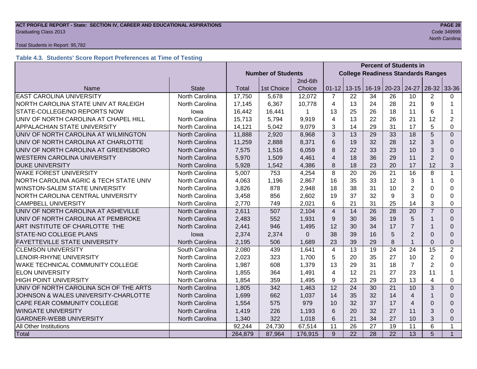# **ACT PROFILE REPORT - State: SECTION IV, CAREER AND EDUCATIONAL ASPIRATIONS PAGE 28** Graduating Class 2013 Code 349999

#### Total Students in Report: 95,782

# **Table 4.3. Students' Score Report Preferences at Time of Testing**

|                                                 |                       | <b>Percent of Students in</b> |            |          |                 |                                           |           |           |                |                       |                |  |
|-------------------------------------------------|-----------------------|-------------------------------|------------|----------|-----------------|-------------------------------------------|-----------|-----------|----------------|-----------------------|----------------|--|
|                                                 |                       | <b>Number of Students</b>     |            |          |                 | <b>College Readiness Standards Ranges</b> |           |           |                |                       |                |  |
|                                                 |                       |                               |            | 2nd-6th  |                 |                                           |           |           |                |                       |                |  |
| Name                                            | <b>State</b>          | Total                         | 1st Choice | Choice   | $01 - 12$       | $13 - 15$                                 | $16 - 19$ | $20 - 23$ | 24-27          | $28-32$               | 33-36          |  |
| <b>EAST CAROLINA UNIVERSITY</b>                 | North Carolina        | 17,750                        | 5,678      | 12,072   | $\overline{7}$  | 22                                        | 34        | 26        | 10             | $\mathbf{2}^{\prime}$ | 0              |  |
| NORTH CAROLINA STATE UNIV AT RALEIGH            | North Carolina        | 17,145                        | 6,367      | 10,778   | 4               | 13                                        | 24        | 28        | 21             | 9                     |                |  |
| STATE-COLLEGE/NO REPORTS NOW                    | lowa                  | 16,442                        | 16,441     |          | 13              | 25                                        | 26        | 18        | 11             | 6                     | 1              |  |
| UNIV OF NORTH CAROLINA AT CHAPEL HILL           | <b>North Carolina</b> | 15,713                        | 5,794      | 9,919    | 4               | 13                                        | 22        | 26        | 21             | 12                    | 2              |  |
| APPALACHIAN STATE UNIVERSITY                    | North Carolina        | 14,121                        | 5,042      | 9,079    | 3               | 14                                        | 29        | 31        | 17             | 5                     | 0              |  |
| UNIV OF NORTH CAROLINA AT WILMINGTON            | North Carolina        | 11,888                        | 2,920      | 8,968    | 3               | 13                                        | 29        | 33        | 18             | 5                     | $\Omega$       |  |
| UNIV OF NORTH CAROLINA AT CHARLOTTE             | North Carolina        | 11,259                        | 2,888      | 8,371    | 6               | 19                                        | 32        | 28        | 12             | 3                     | $\Omega$       |  |
| UNIV OF NORTH CAROLINA AT GREENSBORO            | North Carolina        | 7,575                         | 1,516      | 6,059    | 8               | 22                                        | 33        | 23        | 10             | 3                     | $\Omega$       |  |
| <b>WESTERN CAROLINA UNIVERSITY</b>              | North Carolina        | 5,970                         | 1,509      | 4,461    | $\overline{4}$  | 18                                        | 36        | 29        | 11             | $\overline{2}$        | $\Omega$       |  |
| <b>DUKE UNIVERSITY</b>                          | North Carolina        | 5,928                         | 1,542      | 4,386    | 8               | 18                                        | 23        | 20        | 17             | 12                    | 3              |  |
| <b>WAKE FOREST UNIVERSITY</b>                   | North Carolina        | 5,007                         | 753        | 4,254    | 8               | 20                                        | 26        | 21        | 16             | 8                     | 1              |  |
| NORTH CAROLINA AGRIC & TECH STATE UNIV          | North Carolina        | 4,063                         | 1,196      | 2,867    | 16              | 35                                        | 33        | 12        | 3              |                       | $\Omega$       |  |
| WINSTON-SALEM STATE UNIVERSITY                  | North Carolina        | 3,826                         | 878        | 2,948    | 18              | 38                                        | 31        | 10        | $\overline{2}$ | $\Omega$              | 0              |  |
| NORTH CAROLINA CENTRAL UNIVERSITY               | North Carolina        | 3,458                         | 856        | 2,602    | 19              | 37                                        | 32        | 9         | 3              | $\Omega$              | 0              |  |
| <b>CAMPBELL UNIVERSITY</b>                      | North Carolina        | 2,770                         | 749        | 2,021    | $6\phantom{1}6$ | 21                                        | 31        | 25        | 14             | 3                     | $\Omega$       |  |
| UNIV OF NORTH CAROLINA AT ASHEVILLE             | North Carolina        | 2,611                         | 507        | 2,104    | $\overline{4}$  | 14                                        | 26        | 28        | 20             | $\overline{7}$        | $\Omega$       |  |
| UNIV OF NORTH CAROLINA AT PEMBROKE              | North Carolina        | 2,483                         | 552        | 1,931    | 9               | 30                                        | 36        | 19        | 5              |                       | 0              |  |
| ART INSTITUTE OF CHARLOTTE THE                  | North Carolina        | 2,441                         | 946        | 1,495    | 12              | 30                                        | 34        | 17        | $\overline{7}$ |                       | $\Omega$       |  |
| STATE-NO COLLEGE PLANS                          | lowa                  | 2,374                         | 2,374      | $\Omega$ | 38              | 39                                        | 16        | 5         | $\overline{2}$ | $\Omega$              | $\Omega$       |  |
| <b>FAYETTEVILLE STATE UNIVERSITY</b>            | North Carolina        | 2,195                         | 506        | 1,689    | 23              | 39                                        | 29        | 8         | $\mathbf{1}$   | $\Omega$              | $\Omega$       |  |
| <b>CLEMSON UNIVERSITY</b>                       | South Carolina        | 2,080                         | 439        | 1,641    | $\overline{4}$  | 13                                        | 19        | 24        | 24             | 15                    | $\overline{2}$ |  |
| <b>LENOIR-RHYNE UNIVERSITY</b>                  | North Carolina        | 2,023                         | 323        | 1,700    | 5               | 20                                        | 35        | 27        | 10             | $\overline{2}$        | 0              |  |
| WAKE TECHNICAL COMMUNITY COLLEGE                | North Carolina        | 1,987                         | 608        | 1,379    | 13              | 29                                        | 31        | 18        | $\overline{7}$ | $\overline{2}$        | 0              |  |
| <b>ELON UNIVERSITY</b>                          | North Carolina        | 1,855                         | 364        | 1,491    | 4               | 12                                        | 21        | 27        | 23             | 11                    | 1              |  |
| <b>HIGH POINT UNIVERSITY</b>                    | North Carolina        | 1,854                         | 359        | 1,495    | 9               | 23                                        | 29        | 23        | 13             | 4                     | 0              |  |
| UNIV OF NORTH CAROLINA SCH OF THE ARTS          | North Carolina        | 1,805                         | 342        | 1,463    | 12              | 24                                        | 30        | 21        | 10             | 3                     | $\Omega$       |  |
| <b>JOHNSON &amp; WALES UNIVERSITY-CHARLOTTE</b> | North Carolina        | 1,699                         | 662        | 1,037    | 14              | 35                                        | 32        | 14        | 4              |                       | 0              |  |
| CAPE FEAR COMMUNITY COLLEGE                     | North Carolina        | 1,554                         | 575        | 979      | 10              | 32                                        | 37        | 17        | 4              | $\Omega$              | $\Omega$       |  |
| <b>WINGATE UNIVERSITY</b>                       | North Carolina        | 1,419                         | 226        | 1,193    | 6               | 20                                        | 32        | 27        | 11             | 3                     | 0              |  |
| <b>GARDNER-WEBB UNIVERSITY</b>                  | North Carolina        | 1,340                         | 322        | 1,018    | 6               | 21                                        | 34        | 27        | 10             | 3                     | $\Omega$       |  |
| All Other Institutions                          |                       | 92,244                        | 24,730     | 67,514   | 11              | 26                                        | 27        | 19        | 11             | 6                     | $\mathbf{1}$   |  |
| <b>Total</b>                                    |                       | 264,879                       | 87,964     | 176,915  | 9               | 22                                        | 28        | 22        | 13             | 5                     | $\mathbf{1}$   |  |

North Carolina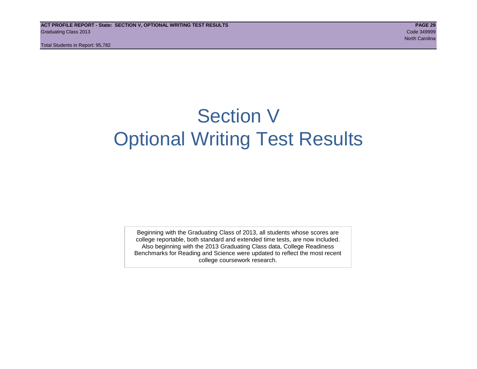# Section V Optional Writing Test Results

Beginning with the Graduating Class of 2013, all students whose scores are college reportable, both standard and extended time tests, are now included. Also beginning with the 2013 Graduating Class data, College Readiness Benchmarks for Reading and Science were updated to reflect the most recent college coursework research.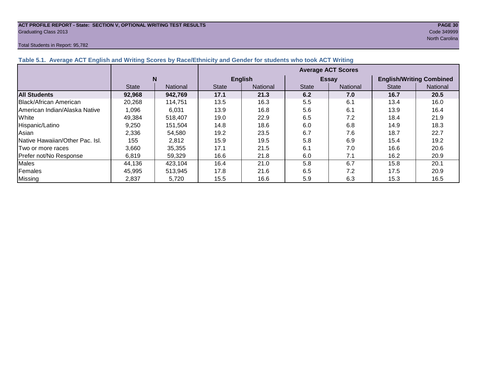#### **ACT PROFILE REPORT - State: SECTION V, OPTIONAL WRITING TEST RESULTS PAGE 30** Graduating Class 2013 Code 349999

#### Total Students in Report: 95,782

north Carolina and Carolina and Carolina and Carolina and Carolina and Carolina and Carolina and Carolina and C

| Table 5.1. Average ACT English and Writing Scores by Race/Ethnicity and Gender for students who took ACT Writing |              |          |                           |                |              |                 |                                 |          |  |  |  |
|------------------------------------------------------------------------------------------------------------------|--------------|----------|---------------------------|----------------|--------------|-----------------|---------------------------------|----------|--|--|--|
|                                                                                                                  |              |          | <b>Average ACT Scores</b> |                |              |                 |                                 |          |  |  |  |
|                                                                                                                  | N            |          |                           | <b>English</b> |              | <b>Essay</b>    | <b>English/Writing Combined</b> |          |  |  |  |
|                                                                                                                  | <b>State</b> | National | <b>State</b>              | National       | <b>State</b> | <b>National</b> | <b>State</b>                    | National |  |  |  |
| <b>All Students</b>                                                                                              | 92,968       | 942,769  | 17.1                      | 21.3           | 6.2          | 7.0             | 16.7                            | 20.5     |  |  |  |
| <b>IBlack/African American</b>                                                                                   | 20,268       | 114,751  | 13.5                      | 16.3           | 5.5          | 6.1             | 13.4                            | 16.0     |  |  |  |
| IAmerican Indian/Alaska Native                                                                                   | 1,096        | 6,031    | 13.9                      | 16.8           | 5.6          | 6.1             | 13.9                            | 16.4     |  |  |  |
| White                                                                                                            | 49,384       | 518,407  | 19.0                      | 22.9           | 6.5          | 7.2             | 18.4                            | 21.9     |  |  |  |
| Hispanic/Latino                                                                                                  | 9,250        | 151.504  | 14.8                      | 18.6           | 6.0          | 6.8             | 14.9                            | 18.3     |  |  |  |
| Asian                                                                                                            | 2,336        | 54,580   | 19.2                      | 23.5           | 6.7          | 7.6             | 18.7                            | 22.7     |  |  |  |
| <b>INative Hawaiian/Other Pac. Isl.</b>                                                                          | 155          | 2,812    | 15.9                      | 19.5           | 5.8          | 6.9             | 15.4                            | 19.2     |  |  |  |
| Two or more races                                                                                                | 3,660        | 35,355   | 17.1                      | 21.5           | 6.1          | 7.0             | 16.6                            | 20.6     |  |  |  |
| Prefer not/No Response                                                                                           | 6,819        | 59,329   | 16.6                      | 21.8           | 6.0          | 7.1             | 16.2                            | 20.9     |  |  |  |
| <b>Males</b>                                                                                                     | 44,136       | 423,104  | 16.4                      | 21.0           | 5.8          | 6.7             | 15.8                            | 20.1     |  |  |  |
| Females                                                                                                          | 45,995       | 513,945  | 17.8                      | 21.6           | 6.5          | 7.2             | 17.5                            | 20.9     |  |  |  |
| Missing                                                                                                          | 2,837        | 5,720    | 15.5                      | 16.6           | 5.9          | 6.3             | 15.3                            | 16.5     |  |  |  |